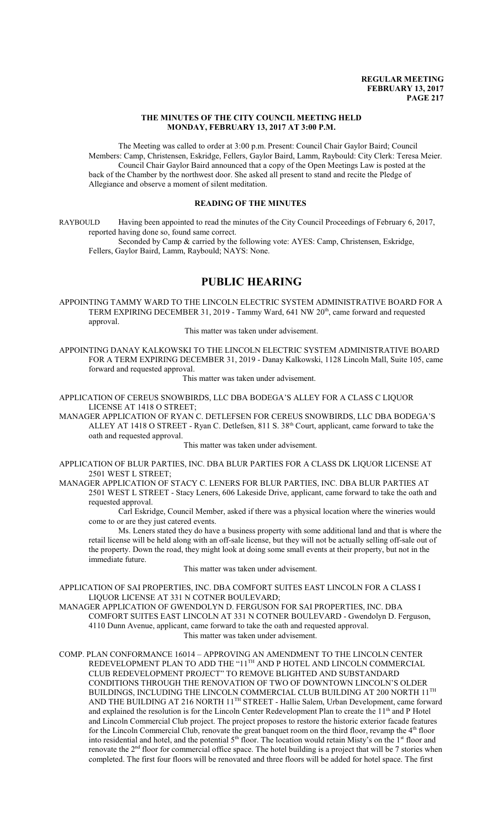#### **THE MINUTES OF THE CITY COUNCIL MEETING HELD MONDAY, FEBRUARY 13, 2017 AT 3:00 P.M.**

The Meeting was called to order at 3:00 p.m. Present: Council Chair Gaylor Baird; Council Members: Camp, Christensen, Eskridge, Fellers, Gaylor Baird, Lamm, Raybould: City Clerk: Teresa Meier. Council Chair Gaylor Baird announced that a copy of the Open Meetings Law is posted at the back of the Chamber by the northwest door. She asked all present to stand and recite the Pledge of Allegiance and observe a moment of silent meditation.

### **READING OF THE MINUTES**

RAYBOULD Having been appointed to read the minutes of the City Council Proceedings of February 6, 2017, reported having done so, found same correct.

Seconded by Camp & carried by the following vote: AYES: Camp, Christensen, Eskridge, Fellers, Gaylor Baird, Lamm, Raybould; NAYS: None.

## **PUBLIC HEARING**

APPOINTING TAMMY WARD TO THE LINCOLN ELECTRIC SYSTEM ADMINISTRATIVE BOARD FOR A TERM EXPIRING DECEMBER 31, 2019 - Tammy Ward, 641 NW 20<sup>th</sup>, came forward and requested approval.

This matter was taken under advisement.

APPOINTING DANAY KALKOWSKI TO THE LINCOLN ELECTRIC SYSTEM ADMINISTRATIVE BOARD FOR A TERM EXPIRING DECEMBER 31, 2019 - Danay Kalkowski, 1128 Lincoln Mall, Suite 105, came forward and requested approval.

This matter was taken under advisement.

APPLICATION OF CEREUS SNOWBIRDS, LLC DBA BODEGA'S ALLEY FOR A CLASS C LIQUOR LICENSE AT 1418 O STREET;

MANAGER APPLICATION OF RYAN C. DETLEFSEN FOR CEREUS SNOWBIRDS, LLC DBA BODEGA'S ALLEY AT 1418 O STREET - Ryan C. Detlefsen, 811 S. 38<sup>th</sup> Court, applicant, came forward to take the oath and requested approval.

This matter was taken under advisement.

- APPLICATION OF BLUR PARTIES, INC. DBA BLUR PARTIES FOR A CLASS DK LIQUOR LICENSE AT 2501 WEST L STREET;
- MANAGER APPLICATION OF STACY C. LENERS FOR BLUR PARTIES, INC. DBA BLUR PARTIES AT 2501 WEST L STREET - Stacy Leners, 606 Lakeside Drive, applicant, came forward to take the oath and requested approval.

Carl Eskridge, Council Member, asked if there was a physical location where the wineries would come to or are they just catered events.

Ms. Leners stated they do have a business property with some additional land and that is where the retail license will be held along with an off-sale license, but they will not be actually selling off-sale out of the property. Down the road, they might look at doing some small events at their property, but not in the immediate future.

This matter was taken under advisement.

APPLICATION OF SAI PROPERTIES, INC. DBA COMFORT SUITES EAST LINCOLN FOR A CLASS I LIQUOR LICENSE AT 331 N COTNER BOULEVARD;

MANAGER APPLICATION OF GWENDOLYN D. FERGUSON FOR SAI PROPERTIES, INC. DBA COMFORT SUITES EAST LINCOLN AT 331 N COTNER BOULEVARD - Gwendolyn D. Ferguson, 4110 Dunn Avenue, applicant, came forward to take the oath and requested approval. This matter was taken under advisement.

COMP. PLAN CONFORMANCE 16014 – APPROVING AN AMENDMENT TO THE LINCOLN CENTER REDEVELOPMENT PLAN TO ADD THE "11<sup>th</sup> AND P HOTEL AND LINCOLN COMMERCIAL CLUB REDEVELOPMENT PROJECT" TO REMOVE BLIGHTED AND SUBSTANDARD CONDITIONS THROUGH THE RENOVATION OF TWO OF DOWNTOWN LINCOLN'S OLDER BUILDINGS, INCLUDING THE LINCOLN COMMERCIAL CLUB BUILDING AT 200 NORTH  $11^{\rm{TH}}$ AND THE BUILDING AT 216 NORTH 11<sup>TH</sup> STREET - Hallie Salem, Urban Development, came forward and explained the resolution is for the Lincoln Center Redevelopment Plan to create the 11<sup>th</sup> and P Hotel and Lincoln Commercial Club project. The project proposes to restore the historic exterior facade features for the Lincoln Commercial Club, renovate the great banquet room on the third floor, revamp the 4<sup>th</sup> floor into residential and hotel, and the potential  $5<sup>th</sup>$  floor. The location would retain Misty's on the 1<sup>st</sup> floor and renovate the 2<sup>nd</sup> floor for commercial office space. The hotel building is a project that will be 7 stories when completed. The first four floors will be renovated and three floors will be added for hotel space. The first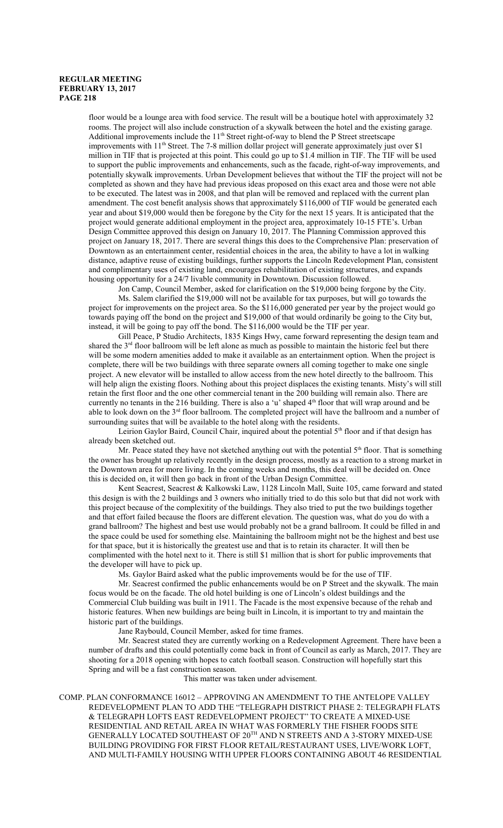floor would be a lounge area with food service. The result will be a boutique hotel with approximately 32 rooms. The project will also include construction of a skywalk between the hotel and the existing garage. Additional improvements include the 11<sup>th</sup> Street right-of-way to blend the P Street streetscape improvements with 11<sup>th</sup> Street. The 7-8 million dollar project will generate approximately just over \$1 million in TIF that is projected at this point. This could go up to \$1.4 million in TIF. The TIF will be used to support the public improvements and enhancements, such as the facade, right-of-way improvements, and potentially skywalk improvements. Urban Development believes that without the TIF the project will not be completed as shown and they have had previous ideas proposed on this exact area and those were not able to be executed. The latest was in 2008, and that plan will be removed and replaced with the current plan amendment. The cost benefit analysis shows that approximately \$116,000 of TIF would be generated each year and about \$19,000 would then be foregone by the City for the next 15 years. It is anticipated that the project would generate additional employment in the project area, approximately 10-15 FTE's. Urban Design Committee approved this design on January 10, 2017. The Planning Commission approved this project on January 18, 2017. There are several things this does to the Comprehensive Plan: preservation of Downtown as an entertainment center, residential choices in the area, the ability to have a lot in walking distance, adaptive reuse of existing buildings, further supports the Lincoln Redevelopment Plan, consistent and complimentary uses of existing land, encourages rehabilitation of existing structures, and expands housing opportunity for a 24/7 livable community in Downtown. Discussion followed.

Jon Camp, Council Member, asked for clarification on the \$19,000 being forgone by the City. Ms. Salem clarified the \$19,000 will not be available for tax purposes, but will go towards the project for improvements on the project area. So the \$116,000 generated per year by the project would go towards paying off the bond on the project and \$19,000 of that would ordinarily be going to the City but, instead, it will be going to pay off the bond. The \$116,000 would be the TIF per year.

Gill Peace, P Studio Architects, 1835 Kings Hwy, came forward representing the design team and shared the 3<sup>rd</sup> floor ballroom will be left alone as much as possible to maintain the historic feel but there will be some modern amenities added to make it available as an entertainment option. When the project is complete, there will be two buildings with three separate owners all coming together to make one single project. A new elevator will be installed to allow access from the new hotel directly to the ballroom. This will help align the existing floors. Nothing about this project displaces the existing tenants. Misty's will still retain the first floor and the one other commercial tenant in the 200 building will remain also. There are currently no tenants in the 216 building. There is also a 'u' shaped 4<sup>th</sup> floor that will wrap around and be able to look down on the 3<sup>rd</sup> floor ballroom. The completed project will have the ballroom and a number of surrounding suites that will be available to the hotel along with the residents.

Leirion Gaylor Baird, Council Chair, inquired about the potential 5<sup>th</sup> floor and if that design has already been sketched out.

Mr. Peace stated they have not sketched anything out with the potential 5<sup>th</sup> floor. That is something the owner has brought up relatively recently in the design process, mostly as a reaction to a strong market in the Downtown area for more living. In the coming weeks and months, this deal will be decided on. Once this is decided on, it will then go back in front of the Urban Design Committee.

Kent Seacrest, Seacrest & Kalkowski Law, 1128 Lincoln Mall, Suite 105, came forward and stated this design is with the 2 buildings and 3 owners who initially tried to do this solo but that did not work with this project because of the complexitity of the buildings. They also tried to put the two buildings together and that effort failed because the floors are different elevation. The question was, what do you do with a grand ballroom? The highest and best use would probably not be a grand ballroom. It could be filled in and the space could be used for something else. Maintaining the ballroom might not be the highest and best use for that space, but it is historically the greatest use and that is to retain its character. It will then be complimented with the hotel next to it. There is still \$1 million that is short for public improvements that the developer will have to pick up.

Ms. Gaylor Baird asked what the public improvements would be for the use of TIF.

Mr. Seacrest confirmed the public enhancements would be on P Street and the skywalk. The main focus would be on the facade. The old hotel building is one of Lincoln's oldest buildings and the Commercial Club building was built in 1911. The Facade is the most expensive because of the rehab and historic features. When new buildings are being built in Lincoln, it is important to try and maintain the historic part of the buildings.

Jane Raybould, Council Member, asked for time frames.

Mr. Seacrest stated they are currently working on a Redevelopment Agreement. There have been a number of drafts and this could potentially come back in front of Council as early as March, 2017. They are shooting for a 2018 opening with hopes to catch football season. Construction will hopefully start this Spring and will be a fast construction season.

This matter was taken under advisement.

COMP. PLAN CONFORMANCE 16012 – APPROVING AN AMENDMENT TO THE ANTELOPE VALLEY REDEVELOPMENT PLAN TO ADD THE "TELEGRAPH DISTRICT PHASE 2: TELEGRAPH FLATS & TELEGRAPH LOFTS EAST REDEVELOPMENT PROJECT" TO CREATE A MIXED-USE RESIDENTIAL AND RETAIL AREA IN WHAT WAS FORMERLY THE FISHER FOODS SITE GENERALLY LOCATED SOUTHEAST OF 20 TH AND N STREETS AND A 3-STORY MIXED-USE BUILDING PROVIDING FOR FIRST FLOOR RETAIL/RESTAURANT USES, LIVE/WORK LOFT, AND MULTI-FAMILY HOUSING WITH UPPER FLOORS CONTAINING ABOUT 46 RESIDENTIAL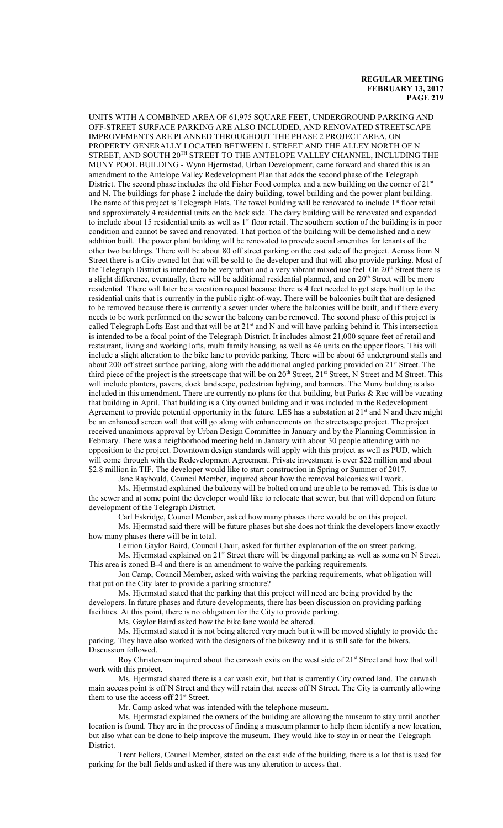UNITS WITH A COMBINED AREA OF 61,975 SQUARE FEET, UNDERGROUND PARKING AND OFF-STREET SURFACE PARKING ARE ALSO INCLUDED, AND RENOVATED STREETSCAPE IMPROVEMENTS ARE PLANNED THROUGHOUT THE PHASE 2 PROJECT AREA, ON PROPERTY GENERALLY LOCATED BETWEEN L STREET AND THE ALLEY NORTH OF N STREET, AND SOUTH  $20^{\rm TH}$  STREET TO THE ANTELOPE VALLEY CHANNEL, INCLUDING THE MUNY POOL BUILDING - Wynn Hjermstad, Urban Development, came forward and shared this is an amendment to the Antelope Valley Redevelopment Plan that adds the second phase of the Telegraph District. The second phase includes the old Fisher Food complex and a new building on the corner of 21<sup>st</sup> and N. The buildings for phase 2 include the dairy building, towel building and the power plant building. The name of this project is Telegraph Flats. The towel building will be renovated to include 1st floor retail and approximately 4 residential units on the back side. The dairy building will be renovated and expanded to include about 15 residential units as well as 1<sup>st</sup> floor retail. The southern section of the building is in poor condition and cannot be saved and renovated. That portion of the building will be demolished and a new addition built. The power plant building will be renovated to provide social amenities for tenants of the other two buildings. There will be about 80 off street parking on the east side of the project. Across from N Street there is a City owned lot that will be sold to the developer and that will also provide parking. Most of the Telegraph District is intended to be very urban and a very vibrant mixed use feel. On 20<sup>th</sup> Street there is a slight difference, eventually, there will be additional residential planned, and on 20<sup>th</sup> Street will be more residential. There will later be a vacation request because there is 4 feet needed to get steps built up to the residential units that is currently in the public right-of-way. There will be balconies built that are designed to be removed because there is currently a sewer under where the balconies will be built, and if there every needs to be work performed on the sewer the balcony can be removed. The second phase of this project is called Telegraph Lofts East and that will be at 21<sup>st</sup> and N and will have parking behind it. This intersection is intended to be a focal point of the Telegraph District. It includes almost 21,000 square feet of retail and restaurant, living and working lofts, multi family housing, as well as 46 units on the upper floors. This will include a slight alteration to the bike lane to provide parking. There will be about 65 underground stalls and about 200 off street surface parking, along with the additional angled parking provided on 21<sup>st</sup> Street. The third piece of the project is the streetscape that will be on 20<sup>th</sup> Street, 21<sup>st</sup> Street, N Street and M Street. This will include planters, pavers, dock landscape, pedestrian lighting, and banners. The Muny building is also included in this amendment. There are currently no plans for that building, but Parks & Rec will be vacating that building in April. That building is a City owned building and it was included in the Redevelopment Agreement to provide potential opportunity in the future. LES has a substation at 21<sup>st</sup> and N and there might be an enhanced screen wall that will go along with enhancements on the streetscape project. The project received unanimous approval by Urban Design Committee in January and by the Planning Commission in February. There was a neighborhood meeting held in January with about 30 people attending with no opposition to the project. Downtown design standards will apply with this project as well as PUD, which will come through with the Redevelopment Agreement. Private investment is over \$22 million and about \$2.8 million in TIF. The developer would like to start construction in Spring or Summer of 2017.

Jane Raybould, Council Member, inquired about how the removal balconies will work.

Ms. Hjermstad explained the balcony will be bolted on and are able to be removed. This is due to the sewer and at some point the developer would like to relocate that sewer, but that will depend on future development of the Telegraph District.

Carl Eskridge, Council Member, asked how many phases there would be on this project.

Ms. Hjermstad said there will be future phases but she does not think the developers know exactly how many phases there will be in total.

Leirion Gaylor Baird, Council Chair, asked for further explanation of the on street parking.

Ms. Hjermstad explained on 21<sup>st</sup> Street there will be diagonal parking as well as some on N Street. This area is zoned B-4 and there is an amendment to waive the parking requirements.

Jon Camp, Council Member, asked with waiving the parking requirements, what obligation will that put on the City later to provide a parking structure?

Ms. Hjermstad stated that the parking that this project will need are being provided by the developers. In future phases and future developments, there has been discussion on providing parking facilities. At this point, there is no obligation for the City to provide parking.

Ms. Gaylor Baird asked how the bike lane would be altered.

Ms. Hjermstad stated it is not being altered very much but it will be moved slightly to provide the parking. They have also worked with the designers of the bikeway and it is still safe for the bikers. Discussion followed.

Roy Christensen inquired about the carwash exits on the west side of 21<sup>st</sup> Street and how that will work with this project.

Ms. Hjermstad shared there is a car wash exit, but that is currently City owned land. The carwash main access point is off N Street and they will retain that access off N Street. The City is currently allowing them to use the access off  $21<sup>st</sup>$  Street.

Mr. Camp asked what was intended with the telephone museum.

Ms. Hjermstad explained the owners of the building are allowing the museum to stay until another location is found. They are in the process of finding a museum planner to help them identify a new location, but also what can be done to help improve the museum. They would like to stay in or near the Telegraph District.

Trent Fellers, Council Member, stated on the east side of the building, there is a lot that is used for parking for the ball fields and asked if there was any alteration to access that.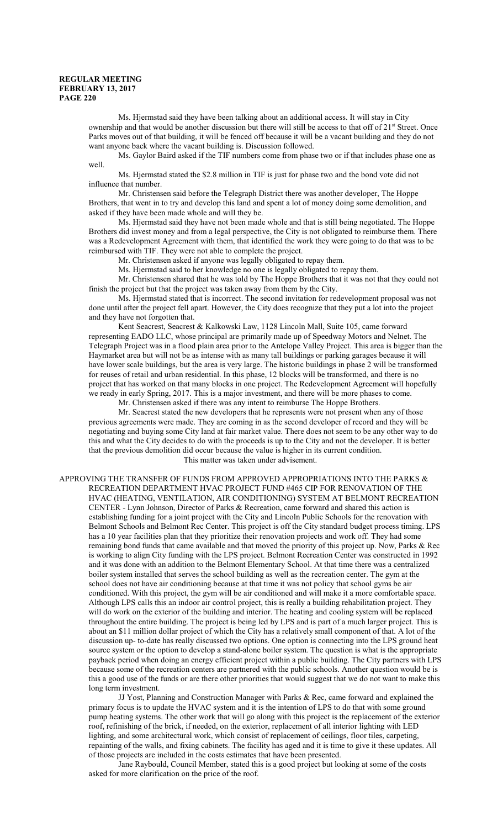Ms. Hjermstad said they have been talking about an additional access. It will stay in City ownership and that would be another discussion but there will still be access to that off of 21<sup>st</sup> Street. Once Parks moves out of that building, it will be fenced off because it will be a vacant building and they do not want anyone back where the vacant building is. Discussion followed.

Ms. Gaylor Baird asked if the TIF numbers come from phase two or if that includes phase one as well.

Ms. Hjermstad stated the \$2.8 million in TIF is just for phase two and the bond vote did not influence that number.

Mr. Christensen said before the Telegraph District there was another developer, The Hoppe Brothers, that went in to try and develop this land and spent a lot of money doing some demolition, and asked if they have been made whole and will they be.

Ms. Hjermstad said they have not been made whole and that is still being negotiated. The Hoppe Brothers did invest money and from a legal perspective, the City is not obligated to reimburse them. There was a Redevelopment Agreement with them, that identified the work they were going to do that was to be reimbursed with TIF. They were not able to complete the project.

Mr. Christensen asked if anyone was legally obligated to repay them.

Ms. Hjermstad said to her knowledge no one is legally obligated to repay them.

Mr. Christensen shared that he was told by The Hoppe Brothers that it was not that they could not finish the project but that the project was taken away from them by the City.

Ms. Hjermstad stated that is incorrect. The second invitation for redevelopment proposal was not done until after the project fell apart. However, the City does recognize that they put a lot into the project and they have not forgotten that.

Kent Seacrest, Seacrest & Kalkowski Law, 1128 Lincoln Mall, Suite 105, came forward representing EADO LLC, whose principal are primarily made up of Speedway Motors and Nelnet. The Telegraph Project was in a flood plain area prior to the Antelope Valley Project. This area is bigger than the Haymarket area but will not be as intense with as many tall buildings or parking garages because it will have lower scale buildings, but the area is very large. The historic buildings in phase 2 will be transformed for reuses of retail and urban residential. In this phase, 12 blocks will be transformed, and there is no project that has worked on that many blocks in one project. The Redevelopment Agreement will hopefully we ready in early Spring, 2017. This is a major investment, and there will be more phases to come.

Mr. Christensen asked if there was any intent to reimburse The Hoppe Brothers.

Mr. Seacrest stated the new developers that he represents were not present when any of those previous agreements were made. They are coming in as the second developer of record and they will be negotiating and buying some City land at fair market value. There does not seem to be any other way to do this and what the City decides to do with the proceeds is up to the City and not the developer. It is better that the previous demolition did occur because the value is higher in its current condition.

This matter was taken under advisement.

APPROVING THE TRANSFER OF FUNDS FROM APPROVED APPROPRIATIONS INTO THE PARKS & RECREATION DEPARTMENT HVAC PROJECT FUND #465 CIP FOR RENOVATION OF THE HVAC (HEATING, VENTILATION, AIR CONDITIONING) SYSTEM AT BELMONT RECREATION CENTER - Lynn Johnson, Director of Parks & Recreation, came forward and shared this action is establishing funding for a joint project with the City and Lincoln Public Schools for the renovation with Belmont Schools and Belmont Rec Center. This project is off the City standard budget process timing. LPS has a 10 year facilities plan that they prioritize their renovation projects and work off. They had some remaining bond funds that came available and that moved the priority of this project up. Now, Parks & Rec is working to align City funding with the LPS project. Belmont Recreation Center was constructed in 1992 and it was done with an addition to the Belmont Elementary School. At that time there was a centralized boiler system installed that serves the school building as well as the recreation center. The gym at the school does not have air conditioning because at that time it was not policy that school gyms be air conditioned. With this project, the gym will be air conditioned and will make it a more comfortable space. Although LPS calls this an indoor air control project, this is really a building rehabilitation project. They will do work on the exterior of the building and interior. The heating and cooling system will be replaced throughout the entire building. The project is being led by LPS and is part of a much larger project. This is about an \$11 million dollar project of which the City has a relatively small component of that. A lot of the discussion up- to-date has really discussed two options. One option is connecting into the LPS ground heat source system or the option to develop a stand-alone boiler system. The question is what is the appropriate payback period when doing an energy efficient project within a public building. The City partners with LPS because some of the recreation centers are partnered with the public schools. Another question would be is this a good use of the funds or are there other priorities that would suggest that we do not want to make this long term investment.

JJ Yost, Planning and Construction Manager with Parks & Rec, came forward and explained the primary focus is to update the HVAC system and it is the intention of LPS to do that with some ground pump heating systems. The other work that will go along with this project is the replacement of the exterior roof, refinishing of the brick, if needed, on the exterior, replacement of all interior lighting with LED lighting, and some architectural work, which consist of replacement of ceilings, floor tiles, carpeting, repainting of the walls, and fixing cabinets. The facility has aged and it is time to give it these updates. All of those projects are included in the costs estimates that have been presented.

Jane Raybould, Council Member, stated this is a good project but looking at some of the costs asked for more clarification on the price of the roof.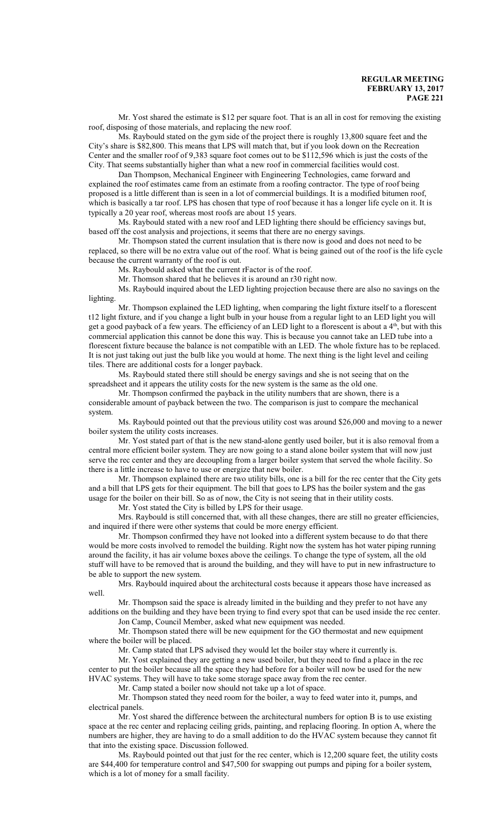Mr. Yost shared the estimate is \$12 per square foot. That is an all in cost for removing the existing roof, disposing of those materials, and replacing the new roof.

Ms. Raybould stated on the gym side of the project there is roughly 13,800 square feet and the City's share is \$82,800. This means that LPS will match that, but if you look down on the Recreation Center and the smaller roof of 9,383 square foot comes out to be \$112,596 which is just the costs of the City. That seems substantially higher than what a new roof in commercial facilities would cost.

Dan Thompson, Mechanical Engineer with Engineering Technologies, came forward and explained the roof estimates came from an estimate from a roofing contractor. The type of roof being proposed is a little different than is seen in a lot of commercial buildings. It is a modified bitumen roof, which is basically a tar roof. LPS has chosen that type of roof because it has a longer life cycle on it. It is typically a 20 year roof, whereas most roofs are about 15 years.

Ms. Raybould stated with a new roof and LED lighting there should be efficiency savings but, based off the cost analysis and projections, it seems that there are no energy savings.

Mr. Thompson stated the current insulation that is there now is good and does not need to be replaced, so there will be no extra value out of the roof. What is being gained out of the roof is the life cycle because the current warranty of the roof is out.

Ms. Raybould asked what the current rFactor is of the roof.

Mr. Thomson shared that he believes it is around an r30 right now.

Ms. Raybould inquired about the LED lighting projection because there are also no savings on the lighting.

Mr. Thompson explained the LED lighting, when comparing the light fixture itself to a florescent t12 light fixture, and if you change a light bulb in your house from a regular light to an LED light you will get a good payback of a few years. The efficiency of an LED light to a florescent is about a 4<sup>th</sup>, but with this commercial application this cannot be done this way. This is because you cannot take an LED tube into a florescent fixture because the balance is not compatible with an LED. The whole fixture has to be replaced. It is not just taking out just the bulb like you would at home. The next thing is the light level and ceiling tiles. There are additional costs for a longer payback.

Ms. Raybould stated there still should be energy savings and she is not seeing that on the spreadsheet and it appears the utility costs for the new system is the same as the old one.

Mr. Thompson confirmed the payback in the utility numbers that are shown, there is a considerable amount of payback between the two. The comparison is just to compare the mechanical system.

Ms. Raybould pointed out that the previous utility cost was around \$26,000 and moving to a newer boiler system the utility costs increases.

Mr. Yost stated part of that is the new stand-alone gently used boiler, but it is also removal from a central more efficient boiler system. They are now going to a stand alone boiler system that will now just serve the rec center and they are decoupling from a larger boiler system that served the whole facility. So there is a little increase to have to use or energize that new boiler.

Mr. Thompson explained there are two utility bills, one is a bill for the rec center that the City gets and a bill that LPS gets for their equipment. The bill that goes to LPS has the boiler system and the gas usage for the boiler on their bill. So as of now, the City is not seeing that in their utility costs.

Mr. Yost stated the City is billed by LPS for their usage.

Mrs. Raybould is still concerned that, with all these changes, there are still no greater efficiencies, and inquired if there were other systems that could be more energy efficient.

Mr. Thompson confirmed they have not looked into a different system because to do that there would be more costs involved to remodel the building. Right now the system has hot water piping running around the facility, it has air volume boxes above the ceilings. To change the type of system, all the old stuff will have to be removed that is around the building, and they will have to put in new infrastructure to be able to support the new system.

Mrs. Raybould inquired about the architectural costs because it appears those have increased as well.

Mr. Thompson said the space is already limited in the building and they prefer to not have any additions on the building and they have been trying to find every spot that can be used inside the rec center.

Jon Camp, Council Member, asked what new equipment was needed.

Mr. Thompson stated there will be new equipment for the GO thermostat and new equipment where the boiler will be placed.

Mr. Camp stated that LPS advised they would let the boiler stay where it currently is.

Mr. Yost explained they are getting a new used boiler, but they need to find a place in the rec center to put the boiler because all the space they had before for a boiler will now be used for the new HVAC systems. They will have to take some storage space away from the rec center.

Mr. Camp stated a boiler now should not take up a lot of space.

Mr. Thompson stated they need room for the boiler, a way to feed water into it, pumps, and electrical panels.

Mr. Yost shared the difference between the architectural numbers for option B is to use existing space at the rec center and replacing ceiling grids, painting, and replacing flooring. In option A, where the numbers are higher, they are having to do a small addition to do the HVAC system because they cannot fit that into the existing space. Discussion followed.

Ms. Raybould pointed out that just for the rec center, which is 12,200 square feet, the utility costs are \$44,400 for temperature control and \$47,500 for swapping out pumps and piping for a boiler system, which is a lot of money for a small facility.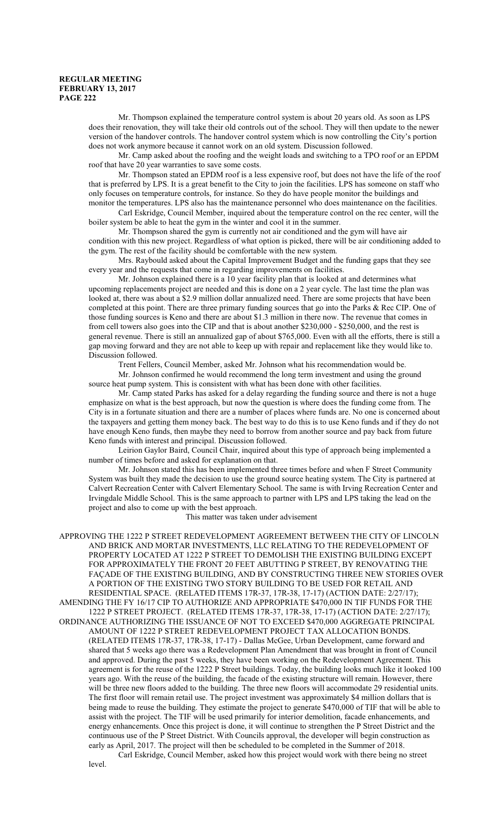Mr. Thompson explained the temperature control system is about 20 years old. As soon as LPS does their renovation, they will take their old controls out of the school. They will then update to the newer version of the handover controls. The handover control system which is now controlling the City's portion does not work anymore because it cannot work on an old system. Discussion followed.

Mr. Camp asked about the roofing and the weight loads and switching to a TPO roof or an EPDM roof that have 20 year warranties to save some costs.

Mr. Thompson stated an EPDM roof is a less expensive roof, but does not have the life of the roof that is preferred by LPS. It is a great benefit to the City to join the facilities. LPS has someone on staff who only focuses on temperature controls, for instance. So they do have people monitor the buildings and monitor the temperatures. LPS also has the maintenance personnel who does maintenance on the facilities.

Carl Eskridge, Council Member, inquired about the temperature control on the rec center, will the boiler system be able to heat the gym in the winter and cool it in the summer.

Mr. Thompson shared the gym is currently not air conditioned and the gym will have air condition with this new project. Regardless of what option is picked, there will be air conditioning added to the gym. The rest of the facility should be comfortable with the new system.

Mrs. Raybould asked about the Capital Improvement Budget and the funding gaps that they see every year and the requests that come in regarding improvements on facilities.

Mr. Johnson explained there is a 10 year facility plan that is looked at and determines what upcoming replacements project are needed and this is done on a 2 year cycle. The last time the plan was looked at, there was about a \$2.9 million dollar annualized need. There are some projects that have been completed at this point. There are three primary funding sources that go into the Parks & Rec CIP. One of those funding sources is Keno and there are about \$1.3 million in there now. The revenue that comes in from cell towers also goes into the CIP and that is about another \$230,000 - \$250,000, and the rest is general revenue. There is still an annualized gap of about \$765,000. Even with all the efforts, there is still a gap moving forward and they are not able to keep up with repair and replacement like they would like to. Discussion followed.

Trent Fellers, Council Member, asked Mr. Johnson what his recommendation would be.

Mr. Johnson confirmed he would recommend the long term investment and using the ground source heat pump system. This is consistent with what has been done with other facilities.

Mr. Camp stated Parks has asked for a delay regarding the funding source and there is not a huge emphasize on what is the best approach, but now the question is where does the funding come from. The City is in a fortunate situation and there are a number of places where funds are. No one is concerned about the taxpayers and getting them money back. The best way to do this is to use Keno funds and if they do not have enough Keno funds, then maybe they need to borrow from another source and pay back from future Keno funds with interest and principal. Discussion followed.

Leirion Gaylor Baird, Council Chair, inquired about this type of approach being implemented a number of times before and asked for explanation on that.

Mr. Johnson stated this has been implemented three times before and when F Street Community System was built they made the decision to use the ground source heating system. The City is partnered at Calvert Recreation Center with Calvert Elementary School. The same is with Irving Recreation Center and Irvingdale Middle School. This is the same approach to partner with LPS and LPS taking the lead on the project and also to come up with the best approach.

This matter was taken under advisement

APPROVING THE 1222 P STREET REDEVELOPMENT AGREEMENT BETWEEN THE CITY OF LINCOLN AND BRICK AND MORTAR INVESTMENTS, LLC RELATING TO THE REDEVELOPMENT OF PROPERTY LOCATED AT 1222 P STREET TO DEMOLISH THE EXISTING BUILDING EXCEPT FOR APPROXIMATELY THE FRONT 20 FEET ABUTTING P STREET, BY RENOVATING THE FAÇADE OF THE EXISTING BUILDING, AND BY CONSTRUCTING THREE NEW STORIES OVER A PORTION OF THE EXISTING TWO STORY BUILDING TO BE USED FOR RETAIL AND RESIDENTIAL SPACE. (RELATED ITEMS 17R-37, 17R-38, 17-17) (ACTION DATE: 2/27/17); AMENDING THE FY 16/17 CIP TO AUTHORIZE AND APPROPRIATE \$470,000 IN TIF FUNDS FOR THE 1222 P STREET PROJECT. (RELATED ITEMS 17R-37, 17R-38, 17-17) (ACTION DATE: 2/27/17); ORDINANCE AUTHORIZING THE ISSUANCE OF NOT TO EXCEED \$470,000 AGGREGATE PRINCIPAL AMOUNT OF 1222 P STREET REDEVELOPMENT PROJECT TAX ALLOCATION BONDS. (RELATED ITEMS 17R-37, 17R-38, 17-17) - Dallas McGee, Urban Development, came forward and shared that 5 weeks ago there was a Redevelopment Plan Amendment that was brought in front of Council and approved. During the past 5 weeks, they have been working on the Redevelopment Agreement. This agreement is for the reuse of the 1222 P Street buildings. Today, the building looks much like it looked 100 years ago. With the reuse of the building, the facade of the existing structure will remain. However, there will be three new floors added to the building. The three new floors will accommodate 29 residential units. The first floor will remain retail use. The project investment was approximately \$4 million dollars that is being made to reuse the building. They estimate the project to generate \$470,000 of TIF that will be able to assist with the project. The TIF will be used primarily for interior demolition, facade enhancements, and energy enhancements. Once this project is done, it will continue to strengthen the P Street District and the continuous use of the P Street District. With Councils approval, the developer will begin construction as early as April, 2017. The project will then be scheduled to be completed in the Summer of 2018.

Carl Eskridge, Council Member, asked how this project would work with there being no street level.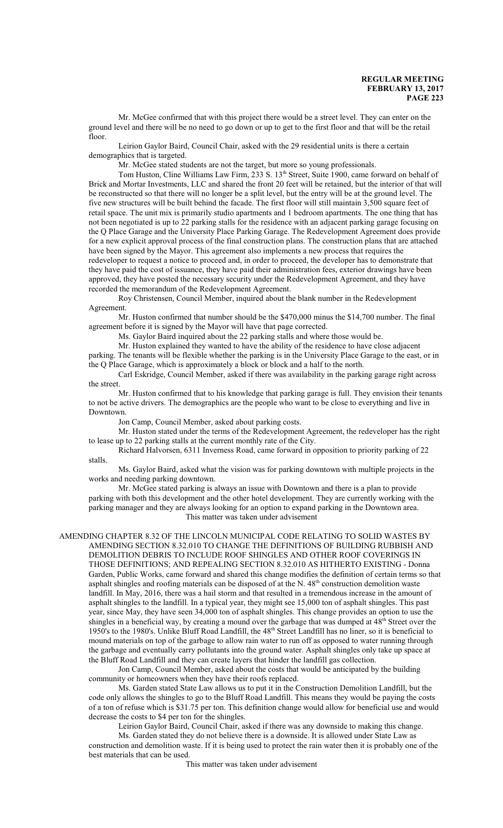Mr. McGee confirmed that with this project there would be a street level. They can enter on the ground level and there will be no need to go down or up to get to the first floor and that will be the retail floor.

Leirion Gaylor Baird, Council Chair, asked with the 29 residential units is there a certain demographics that is targeted.

Mr. McGee stated students are not the target, but more so young professionals.

Tom Huston, Cline Williams Law Firm, 233 S. 13<sup>th</sup> Street, Suite 1900, came forward on behalf of Brick and Mortar Investments, LLC and shared the front 20 feet will be retained, but the interior of that will be reconstructed so that there will no longer be a split level, but the entry will be at the ground level. The five new structures will be built behind the facade. The first floor will still maintain 3,500 square feet of retail space. The unit mix is primarily studio apartments and 1 bedroom apartments. The one thing that has not been negotiated is up to 22 parking stalls for the residence with an adjacent parking garage focusing on the Q Place Garage and the University Place Parking Garage. The Redevelopment Agreement does provide for a new explicit approval process of the final construction plans. The construction plans that are attached have been signed by the Mayor. This agreement also implements a new process that requires the redeveloper to request a notice to proceed and, in order to proceed, the developer has to demonstrate that they have paid the cost of issuance, they have paid their administration fees, exterior drawings have been approved, they have posted the necessary security under the Redevelopment Agreement, and they have recorded the memorandum of the Redevelopment Agreement.

Roy Christensen, Council Member, inquired about the blank number in the Redevelopment Agreement.

Mr. Huston confirmed that number should be the \$470,000 minus the \$14,700 number. The final agreement before it is signed by the Mayor will have that page corrected.

Ms. Gaylor Baird inquired about the 22 parking stalls and where those would be.

Mr. Huston explained they wanted to have the ability of the residence to have close adjacent parking. The tenants will be flexible whether the parking is in the University Place Garage to the east, or in the Q Place Garage, which is approximately a block or block and a half to the north.

Carl Eskridge, Council Member, asked if there was availability in the parking garage right across the street.

Mr. Huston confirmed that to his knowledge that parking garage is full. They envision their tenants to not be active drivers. The demographics are the people who want to be close to everything and live in Downtown.

Jon Camp, Council Member, asked about parking costs.

Mr. Huston stated under the terms of the Redevelopment Agreement, the redeveloper has the right to lease up to 22 parking stalls at the current monthly rate of the City.

Richard Halvorsen, 6311 Inverness Road, came forward in opposition to priority parking of 22 stalls.

Ms. Gaylor Baird, asked what the vision was for parking downtown with multiple projects in the works and needing parking downtown.

Mr. McGee stated parking is always an issue with Downtown and there is a plan to provide parking with both this development and the other hotel development. They are currently working with the parking manager and they are always looking for an option to expand parking in the Downtown area. This matter was taken under advisement

AMENDING CHAPTER 8.32 OF THE LINCOLN MUNICIPAL CODE RELATING TO SOLID WASTES BY AMENDING SECTION 8.32.010 TO CHANGE THE DEFINITIONS OF BUILDING RUBBISH AND DEMOLITION DEBRIS TO INCLUDE ROOF SHINGLES AND OTHER ROOF COVERINGS IN THOSE DEFINITIONS; AND REPEALING SECTION 8.32.010 AS HITHERTO EXISTING - Donna Garden, Public Works, came forward and shared this change modifies the definition of certain terms so that asphalt shingles and roofing materials can be disposed of at the N. 48<sup>th</sup> construction demolition waste landfill. In May, 2016, there was a hail storm and that resulted in a tremendous increase in the amount of asphalt shingles to the landfill. In a typical year, they might see 15,000 ton of asphalt shingles. This past year, since May, they have seen 34,000 ton of asphalt shingles. This change provides an option to use the shingles in a beneficial way, by creating a mound over the garbage that was dumped at 48<sup>th</sup> Street over the 1950's to the 1980's. Unlike Bluff Road Landfill, the 48<sup>th</sup> Street Landfill has no liner, so it is beneficial to mound materials on top of the garbage to allow rain water to run off as opposed to water running through the garbage and eventually carry pollutants into the ground water. Asphalt shingles only take up space at the Bluff Road Landfill and they can create layers that hinder the landfill gas collection.

Jon Camp, Council Member, asked about the costs that would be anticipated by the building community or homeowners when they have their roofs replaced.

Ms. Garden stated State Law allows us to put it in the Construction Demolition Landfill, but the code only allows the shingles to go to the Bluff Road Landfill. This means they would be paying the costs of a ton of refuse which is \$31.75 per ton. This definition change would allow for beneficial use and would decrease the costs to \$4 per ton for the shingles.

Leirion Gaylor Baird, Council Chair, asked if there was any downside to making this change.

Ms. Garden stated they do not believe there is a downside. It is allowed under State Law as construction and demolition waste. If it is being used to protect the rain water then it is probably one of the best materials that can be used.

This matter was taken under advisement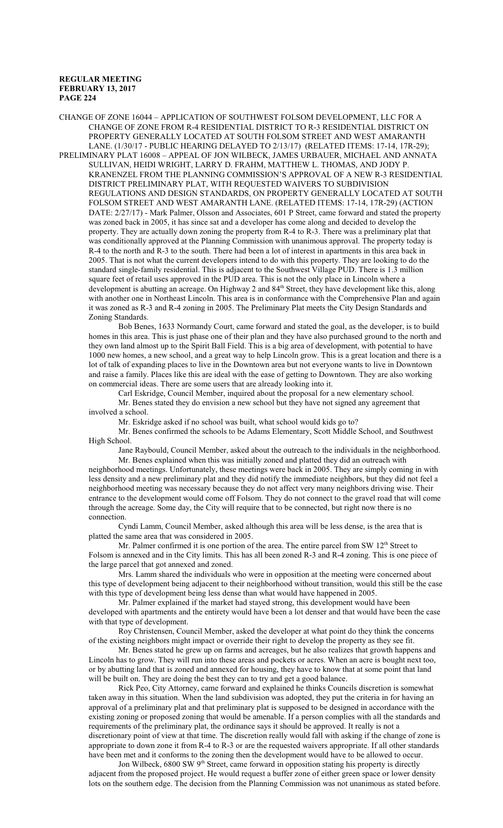CHANGE OF ZONE 16044 – APPLICATION OF SOUTHWEST FOLSOM DEVELOPMENT, LLC FOR A CHANGE OF ZONE FROM R-4 RESIDENTIAL DISTRICT TO R-3 RESIDENTIAL DISTRICT ON PROPERTY GENERALLY LOCATED AT SOUTH FOLSOM STREET AND WEST AMARANTH LANE. (1/30/17 - PUBLIC HEARING DELAYED TO 2/13/17) (RELATED ITEMS: 17-14, 17R-29); PRELIMINARY PLAT 16008 – APPEAL OF JON WILBECK, JAMES URBAUER, MICHAEL AND ANNATA SULLIVAN, HEIDI WRIGHT, LARRY D. FRAHM, MATTHEW L. THOMAS, AND JODY P. KRANENZEL FROM THE PLANNING COMMISSION'S APPROVAL OF A NEW R-3 RESIDENTIAL DISTRICT PRELIMINARY PLAT, WITH REQUESTED WAIVERS TO SUBDIVISION REGULATIONS AND DESIGN STANDARDS, ON PROPERTY GENERALLY LOCATED AT SOUTH FOLSOM STREET AND WEST AMARANTH LANE. (RELATED ITEMS: 17-14, 17R-29) (ACTION DATE: 2/27/17) - Mark Palmer, Olsson and Associates, 601 P Street, came forward and stated the property was zoned back in 2005, it has since sat and a developer has come along and decided to develop the property. They are actually down zoning the property from R-4 to R-3. There was a preliminary plat that was conditionally approved at the Planning Commission with unanimous approval. The property today is R-4 to the north and R-3 to the south. There had been a lot of interest in apartments in this area back in 2005. That is not what the current developers intend to do with this property. They are looking to do the standard single-family residential. This is adjacent to the Southwest Village PUD. There is 1.3 million square feet of retail uses approved in the PUD area. This is not the only place in Lincoln where a development is abutting an acreage. On Highway 2 and 84<sup>th</sup> Street, they have development like this, along with another one in Northeast Lincoln. This area is in conformance with the Comprehensive Plan and again it was zoned as R-3 and R-4 zoning in 2005. The Preliminary Plat meets the City Design Standards and Zoning Standards.

Bob Benes, 1633 Normandy Court, came forward and stated the goal, as the developer, is to build homes in this area. This is just phase one of their plan and they have also purchased ground to the north and they own land almost up to the Spirit Ball Field. This is a big area of development, with potential to have 1000 new homes, a new school, and a great way to help Lincoln grow. This is a great location and there is a lot of talk of expanding places to live in the Downtown area but not everyone wants to live in Downtown and raise a family. Places like this are ideal with the ease of getting to Downtown. They are also working on commercial ideas. There are some users that are already looking into it.

Carl Eskridge, Council Member, inquired about the proposal for a new elementary school. Mr. Benes stated they do envision a new school but they have not signed any agreement that involved a school.

Mr. Eskridge asked if no school was built, what school would kids go to?

Mr. Benes confirmed the schools to be Adams Elementary, Scott Middle School, and Southwest High School.

Jane Raybould, Council Member, asked about the outreach to the individuals in the neighborhood.

Mr. Benes explained when this was initially zoned and platted they did an outreach with neighborhood meetings. Unfortunately, these meetings were back in 2005. They are simply coming in with less density and a new preliminary plat and they did notify the immediate neighbors, but they did not feel a neighborhood meeting was necessary because they do not affect very many neighbors driving wise. Their entrance to the development would come off Folsom. They do not connect to the gravel road that will come through the acreage. Some day, the City will require that to be connected, but right now there is no connection.

Cyndi Lamm, Council Member, asked although this area will be less dense, is the area that is platted the same area that was considered in 2005.

Mr. Palmer confirmed it is one portion of the area. The entire parcel from SW  $12<sup>th</sup>$  Street to Folsom is annexed and in the City limits. This has all been zoned R-3 and R-4 zoning. This is one piece of the large parcel that got annexed and zoned.

Mrs. Lamm shared the individuals who were in opposition at the meeting were concerned about this type of development being adjacent to their neighborhood without transition, would this still be the case with this type of development being less dense than what would have happened in 2005.

Mr. Palmer explained if the market had stayed strong, this development would have been developed with apartments and the entirety would have been a lot denser and that would have been the case with that type of development.

Roy Christensen, Council Member, asked the developer at what point do they think the concerns of the existing neighbors might impact or override their right to develop the property as they see fit.

Mr. Benes stated he grew up on farms and acreages, but he also realizes that growth happens and Lincoln has to grow. They will run into these areas and pockets or acres. When an acre is bought next too, or by abutting land that is zoned and annexed for housing, they have to know that at some point that land will be built on. They are doing the best they can to try and get a good balance.

Rick Peo, City Attorney, came forward and explained he thinks Councils discretion is somewhat taken away in this situation. When the land subdivision was adopted, they put the criteria in for having an approval of a preliminary plat and that preliminary plat is supposed to be designed in accordance with the existing zoning or proposed zoning that would be amenable. If a person complies with all the standards and requirements of the preliminary plat, the ordinance says it should be approved. It really is not a discretionary point of view at that time. The discretion really would fall with asking if the change of zone is appropriate to down zone it from R-4 to R-3 or are the requested waivers appropriate. If all other standards have been met and it conforms to the zoning then the development would have to be allowed to occur.

Jon Wilbeck, 6800 SW 9<sup>th</sup> Street, came forward in opposition stating his property is directly adjacent from the proposed project. He would request a buffer zone of either green space or lower density lots on the southern edge. The decision from the Planning Commission was not unanimous as stated before.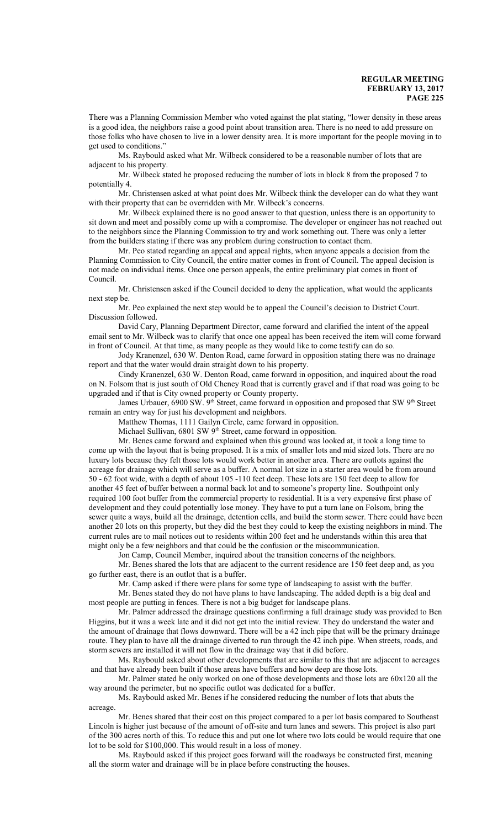There was a Planning Commission Member who voted against the plat stating, "lower density in these areas is a good idea, the neighbors raise a good point about transition area. There is no need to add pressure on those folks who have chosen to live in a lower density area. It is more important for the people moving in to get used to conditions."

Ms. Raybould asked what Mr. Wilbeck considered to be a reasonable number of lots that are adjacent to his property.

Mr. Wilbeck stated he proposed reducing the number of lots in block 8 from the proposed 7 to potentially 4.

Mr. Christensen asked at what point does Mr. Wilbeck think the developer can do what they want with their property that can be overridden with Mr. Wilbeck's concerns.

Mr. Wilbeck explained there is no good answer to that question, unless there is an opportunity to sit down and meet and possibly come up with a compromise. The developer or engineer has not reached out to the neighbors since the Planning Commission to try and work something out. There was only a letter from the builders stating if there was any problem during construction to contact them.

Mr. Peo stated regarding an appeal and appeal rights, when anyone appeals a decision from the Planning Commission to City Council, the entire matter comes in front of Council. The appeal decision is not made on individual items. Once one person appeals, the entire preliminary plat comes in front of Council.

Mr. Christensen asked if the Council decided to deny the application, what would the applicants next step be.

Mr. Peo explained the next step would be to appeal the Council's decision to District Court. Discussion followed.

David Cary, Planning Department Director, came forward and clarified the intent of the appeal email sent to Mr. Wilbeck was to clarify that once one appeal has been received the item will come forward in front of Council. At that time, as many people as they would like to come testify can do so.

Jody Kranenzel, 630 W. Denton Road, came forward in opposition stating there was no drainage report and that the water would drain straight down to his property.

Cindy Kranenzel, 630 W. Denton Road, came forward in opposition, and inquired about the road on N. Folsom that is just south of Old Cheney Road that is currently gravel and if that road was going to be upgraded and if that is City owned property or County property.

James Urbauer, 6900 SW. 9<sup>th</sup> Street, came forward in opposition and proposed that SW 9<sup>th</sup> Street remain an entry way for just his development and neighbors.

Matthew Thomas, 1111 Gailyn Circle, came forward in opposition.

Michael Sullivan, 6801 SW 9<sup>th</sup> Street, came forward in opposition.

Mr. Benes came forward and explained when this ground was looked at, it took a long time to come up with the layout that is being proposed. It is a mix of smaller lots and mid sized lots. There are no luxury lots because they felt those lots would work better in another area. There are outlots against the acreage for drainage which will serve as a buffer. A normal lot size in a starter area would be from around 50 - 62 foot wide, with a depth of about 105 -110 feet deep. These lots are 150 feet deep to allow for another 45 feet of buffer between a normal back lot and to someone's property line. Southpoint only required 100 foot buffer from the commercial property to residential. It is a very expensive first phase of development and they could potentially lose money. They have to put a turn lane on Folsom, bring the sewer quite a ways, build all the drainage, detention cells, and build the storm sewer. There could have been another 20 lots on this property, but they did the best they could to keep the existing neighbors in mind. The current rules are to mail notices out to residents within 200 feet and he understands within this area that might only be a few neighbors and that could be the confusion or the miscommunication.

Jon Camp, Council Member, inquired about the transition concerns of the neighbors.

Mr. Benes shared the lots that are adjacent to the current residence are 150 feet deep and, as you go further east, there is an outlot that is a buffer.

Mr. Camp asked if there were plans for some type of landscaping to assist with the buffer. Mr. Benes stated they do not have plans to have landscaping. The added depth is a big deal and

most people are putting in fences. There is not a big budget for landscape plans.

Mr. Palmer addressed the drainage questions confirming a full drainage study was provided to Ben Higgins, but it was a week late and it did not get into the initial review. They do understand the water and the amount of drainage that flows downward. There will be a 42 inch pipe that will be the primary drainage route. They plan to have all the drainage diverted to run through the 42 inch pipe. When streets, roads, and storm sewers are installed it will not flow in the drainage way that it did before.

Ms. Raybould asked about other developments that are similar to this that are adjacent to acreages and that have already been built if those areas have buffers and how deep are those lots.

Mr. Palmer stated he only worked on one of those developments and those lots are 60x120 all the way around the perimeter, but no specific outlot was dedicated for a buffer.

Ms. Raybould asked Mr. Benes if he considered reducing the number of lots that abuts the acreage.

Mr. Benes shared that their cost on this project compared to a per lot basis compared to Southeast Lincoln is higher just because of the amount of off-site and turn lanes and sewers. This project is also part of the 300 acres north of this. To reduce this and put one lot where two lots could be would require that one lot to be sold for \$100,000. This would result in a loss of money.

Ms. Raybould asked if this project goes forward will the roadways be constructed first, meaning all the storm water and drainage will be in place before constructing the houses.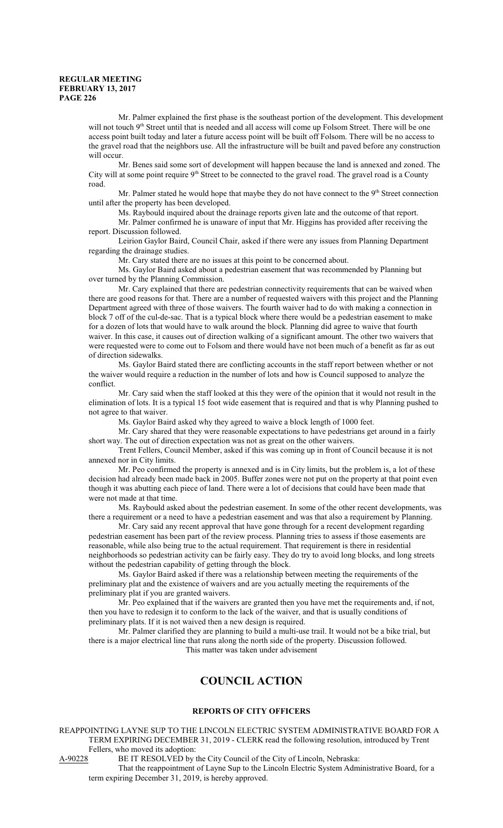Mr. Palmer explained the first phase is the southeast portion of the development. This development will not touch 9<sup>th</sup> Street until that is needed and all access will come up Folsom Street. There will be one access point built today and later a future access point will be built off Folsom. There will be no access to the gravel road that the neighbors use. All the infrastructure will be built and paved before any construction will occur.

Mr. Benes said some sort of development will happen because the land is annexed and zoned. The City will at some point require 9<sup>th</sup> Street to be connected to the gravel road. The gravel road is a County road.

Mr. Palmer stated he would hope that maybe they do not have connect to the 9<sup>th</sup> Street connection until after the property has been developed.

Ms. Raybould inquired about the drainage reports given late and the outcome of that report.

Mr. Palmer confirmed he is unaware of input that Mr. Higgins has provided after receiving the report. Discussion followed.

Leirion Gaylor Baird, Council Chair, asked if there were any issues from Planning Department regarding the drainage studies.

Mr. Cary stated there are no issues at this point to be concerned about.

Ms. Gaylor Baird asked about a pedestrian easement that was recommended by Planning but over turned by the Planning Commission.

Mr. Cary explained that there are pedestrian connectivity requirements that can be waived when there are good reasons for that. There are a number of requested waivers with this project and the Planning Department agreed with three of those waivers. The fourth waiver had to do with making a connection in block 7 off of the cul-de-sac. That is a typical block where there would be a pedestrian easement to make for a dozen of lots that would have to walk around the block. Planning did agree to waive that fourth waiver. In this case, it causes out of direction walking of a significant amount. The other two waivers that were requested were to come out to Folsom and there would have not been much of a benefit as far as out of direction sidewalks.

Ms. Gaylor Baird stated there are conflicting accounts in the staff report between whether or not the waiver would require a reduction in the number of lots and how is Council supposed to analyze the conflict.

Mr. Cary said when the staff looked at this they were of the opinion that it would not result in the elimination of lots. It is a typical 15 foot wide easement that is required and that is why Planning pushed to not agree to that waiver.

Ms. Gaylor Baird asked why they agreed to waive a block length of 1000 feet.

Mr. Cary shared that they were reasonable expectations to have pedestrians get around in a fairly short way. The out of direction expectation was not as great on the other waivers.

Trent Fellers, Council Member, asked if this was coming up in front of Council because it is not annexed nor in City limits.

Mr. Peo confirmed the property is annexed and is in City limits, but the problem is, a lot of these decision had already been made back in 2005. Buffer zones were not put on the property at that point even though it was abutting each piece of land. There were a lot of decisions that could have been made that were not made at that time.

Ms. Raybould asked about the pedestrian easement. In some of the other recent developments, was there a requirement or a need to have a pedestrian easement and was that also a requirement by Planning.

Mr. Cary said any recent approval that have gone through for a recent development regarding pedestrian easement has been part of the review process. Planning tries to assess if those easements are reasonable, while also being true to the actual requirement. That requirement is there in residential neighborhoods so pedestrian activity can be fairly easy. They do try to avoid long blocks, and long streets without the pedestrian capability of getting through the block.

Ms. Gaylor Baird asked if there was a relationship between meeting the requirements of the preliminary plat and the existence of waivers and are you actually meeting the requirements of the preliminary plat if you are granted waivers.

Mr. Peo explained that if the waivers are granted then you have met the requirements and, if not, then you have to redesign it to conform to the lack of the waiver, and that is usually conditions of preliminary plats. If it is not waived then a new design is required.

Mr. Palmer clarified they are planning to build a multi-use trail. It would not be a bike trial, but there is a major electrical line that runs along the north side of the property. Discussion followed. This matter was taken under advisement

# **COUNCIL ACTION**

#### **REPORTS OF CITY OFFICERS**

REAPPOINTING LAYNE SUP TO THE LINCOLN ELECTRIC SYSTEM ADMINISTRATIVE BOARD FOR A TERM EXPIRING DECEMBER 31, 2019 - CLERK read the following resolution, introduced by Trent Fellers, who moved its adoption:

A-90228 BE IT RESOLVED by the City Council of the City of Lincoln, Nebraska:

That the reappointment of Layne Sup to the Lincoln Electric System Administrative Board, for a term expiring December 31, 2019, is hereby approved.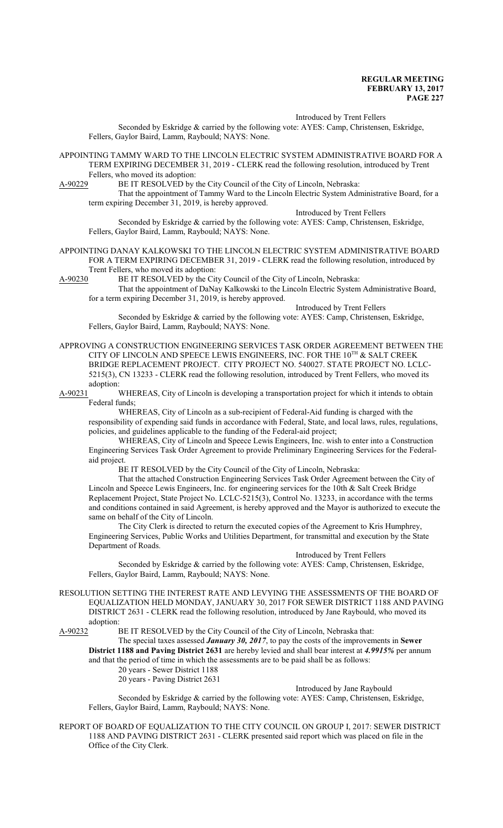Introduced by Trent Fellers

Seconded by Eskridge & carried by the following vote: AYES: Camp, Christensen, Eskridge, Fellers, Gaylor Baird, Lamm, Raybould; NAYS: None.

APPOINTING TAMMY WARD TO THE LINCOLN ELECTRIC SYSTEM ADMINISTRATIVE BOARD FOR A TERM EXPIRING DECEMBER 31, 2019 - CLERK read the following resolution, introduced by Trent Fellers, who moved its adoption:

A-90229 BE IT RESOLVED by the City Council of the City of Lincoln, Nebraska:

That the appointment of Tammy Ward to the Lincoln Electric System Administrative Board, for a term expiring December 31, 2019, is hereby approved.

Introduced by Trent Fellers

Seconded by Eskridge & carried by the following vote: AYES: Camp, Christensen, Eskridge, Fellers, Gaylor Baird, Lamm, Raybould; NAYS: None.

APPOINTING DANAY KALKOWSKI TO THE LINCOLN ELECTRIC SYSTEM ADMINISTRATIVE BOARD FOR A TERM EXPIRING DECEMBER 31, 2019 - CLERK read the following resolution, introduced by Trent Fellers, who moved its adoption:<br>A-90230 BE IT RESOLVED by the Cit

BE IT RESOLVED by the City Council of the City of Lincoln, Nebraska:

That the appointment of DaNay Kalkowski to the Lincoln Electric System Administrative Board, for a term expiring December 31, 2019, is hereby approved.

Introduced by Trent Fellers Seconded by Eskridge & carried by the following vote: AYES: Camp, Christensen, Eskridge, Fellers, Gaylor Baird, Lamm, Raybould; NAYS: None.

APPROVING A CONSTRUCTION ENGINEERING SERVICES TASK ORDER AGREEMENT BETWEEN THE CITY OF LINCOLN AND SPEECE LEWIS ENGINEERS, INC. FOR THE  $10^{\text{TH}}$  & SALT CREEK BRIDGE REPLACEMENT PROJECT. CITY PROJECT NO. 540027. STATE PROJECT NO. LCLC-5215(3), CN 13233 - CLERK read the following resolution, introduced by Trent Fellers, who moved its adoption:

A-90231 WHEREAS, City of Lincoln is developing a transportation project for which it intends to obtain Federal funds;

WHEREAS, City of Lincoln as a sub-recipient of Federal-Aid funding is charged with the responsibility of expending said funds in accordance with Federal, State, and local laws, rules, regulations, policies, and guidelines applicable to the funding of the Federal-aid project;

WHEREAS, City of Lincoln and Speece Lewis Engineers, Inc. wish to enter into a Construction Engineering Services Task Order Agreement to provide Preliminary Engineering Services for the Federalaid project.

BE IT RESOLVED by the City Council of the City of Lincoln, Nebraska:

That the attached Construction Engineering Services Task Order Agreement between the City of Lincoln and Speece Lewis Engineers, Inc. for engineering services for the 10th & Salt Creek Bridge Replacement Project, State Project No. LCLC-5215(3), Control No. 13233, in accordance with the terms and conditions contained in said Agreement, is hereby approved and the Mayor is authorized to execute the same on behalf of the City of Lincoln.

The City Clerk is directed to return the executed copies of the Agreement to Kris Humphrey, Engineering Services, Public Works and Utilities Department, for transmittal and execution by the State Department of Roads.

#### Introduced by Trent Fellers

Seconded by Eskridge & carried by the following vote: AYES: Camp, Christensen, Eskridge, Fellers, Gaylor Baird, Lamm, Raybould; NAYS: None.

RESOLUTION SETTING THE INTEREST RATE AND LEVYING THE ASSESSMENTS OF THE BOARD OF EQUALIZATION HELD MONDAY, JANUARY 30, 2017 FOR SEWER DISTRICT 1188 AND PAVING DISTRICT 2631 - CLERK read the following resolution, introduced by Jane Raybould, who moved its adoption:<br>A-90232 H

BE IT RESOLVED by the City Council of the City of Lincoln, Nebraska that:

The special taxes assessed *January 30, 2017*, to pay the costs of the improvements in **Sewer District 1188 and Paving District 2631** are hereby levied and shall bear interest at *4.9915%* per annum

and that the period of time in which the assessments are to be paid shall be as follows:

20 years - Sewer District 1188

20 years - Paving District 2631

#### Introduced by Jane Raybould

Seconded by Eskridge & carried by the following vote: AYES: Camp, Christensen, Eskridge, Fellers, Gaylor Baird, Lamm, Raybould; NAYS: None.

REPORT OF BOARD OF EQUALIZATION TO THE CITY COUNCIL ON GROUP I, 2017: SEWER DISTRICT 1188 AND PAVING DISTRICT 2631 - CLERK presented said report which was placed on file in the Office of the City Clerk.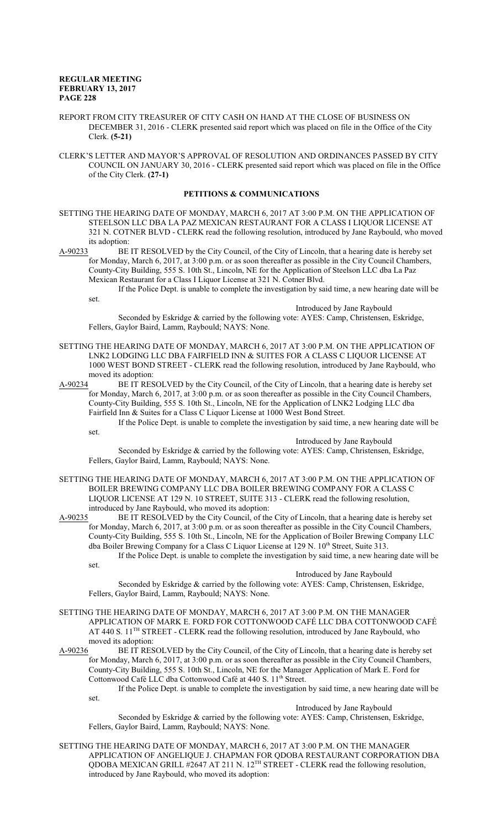- REPORT FROM CITY TREASURER OF CITY CASH ON HAND AT THE CLOSE OF BUSINESS ON DECEMBER 31, 2016 - CLERK presented said report which was placed on file in the Office of the City Clerk. **(5-21)**
- CLERK'S LETTER AND MAYOR'S APPROVAL OF RESOLUTION AND ORDINANCES PASSED BY CITY COUNCIL ON JANUARY 30, 2016 - CLERK presented said report which was placed on file in the Office of the City Clerk. **(27-1)**

### **PETITIONS & COMMUNICATIONS**

SETTING THE HEARING DATE OF MONDAY, MARCH 6, 2017 AT 3:00 P.M. ON THE APPLICATION OF STEELSON LLC DBA LA PAZ MEXICAN RESTAURANT FOR A CLASS I LIQUOR LICENSE AT 321 N. COTNER BLVD - CLERK read the following resolution, introduced by Jane Raybould, who moved its adoption:

A-90233 BE IT RESOLVED by the City Council, of the City of Lincoln, that a hearing date is hereby set for Monday, March 6, 2017, at 3:00 p.m. or as soon thereafter as possible in the City Council Chambers, County-City Building, 555 S. 10th St., Lincoln, NE for the Application of Steelson LLC dba La Paz Mexican Restaurant for a Class I Liquor License at 321 N. Cotner Blvd.

If the Police Dept. is unable to complete the investigation by said time, a new hearing date will be set.

Introduced by Jane Raybould

Seconded by Eskridge & carried by the following vote: AYES: Camp, Christensen, Eskridge, Fellers, Gaylor Baird, Lamm, Raybould; NAYS: None.

SETTING THE HEARING DATE OF MONDAY, MARCH 6, 2017 AT 3:00 P.M. ON THE APPLICATION OF LNK2 LODGING LLC DBA FAIRFIELD INN & SUITES FOR A CLASS C LIQUOR LICENSE AT 1000 WEST BOND STREET - CLERK read the following resolution, introduced by Jane Raybould, who moved its adoption:

A-90234 BE IT RESOLVED by the City Council, of the City of Lincoln, that a hearing date is hereby set for Monday, March 6, 2017, at 3:00 p.m. or as soon thereafter as possible in the City Council Chambers, County-City Building, 555 S. 10th St., Lincoln, NE for the Application of LNK2 Lodging LLC dba Fairfield Inn & Suites for a Class C Liquor License at 1000 West Bond Street.

If the Police Dept. is unable to complete the investigation by said time, a new hearing date will be set.

Introduced by Jane Raybould

Seconded by Eskridge & carried by the following vote: AYES: Camp, Christensen, Eskridge, Fellers, Gaylor Baird, Lamm, Raybould; NAYS: None.

- SETTING THE HEARING DATE OF MONDAY, MARCH 6, 2017 AT 3:00 P.M. ON THE APPLICATION OF BOILER BREWING COMPANY LLC DBA BOILER BREWING COMPANY FOR A CLASS C LIQUOR LICENSE AT 129 N. 10 STREET, SUITE 313 - CLERK read the following resolution, introduced by Jane Raybould, who moved its adoption:
- A-90235 BE IT RESOLVED by the City Council, of the City of Lincoln, that a hearing date is hereby set for Monday, March 6, 2017, at 3:00 p.m. or as soon thereafter as possible in the City Council Chambers, County-City Building, 555 S. 10th St., Lincoln, NE for the Application of Boiler Brewing Company LLC dba Boiler Brewing Company for a Class C Liquor License at 129 N. 10<sup>th</sup> Street, Suite 313. If the Police Dept. is unable to complete the investigation by said time, a new hearing date will be
	- set. Introduced by Jane Raybould

Seconded by Eskridge & carried by the following vote: AYES: Camp, Christensen, Eskridge, Fellers, Gaylor Baird, Lamm, Raybould; NAYS: None.

- SETTING THE HEARING DATE OF MONDAY, MARCH 6, 2017 AT 3:00 P.M. ON THE MANAGER APPLICATION OF MARK E. FORD FOR COTTONWOOD CAFÉ LLC DBA COTTONWOOD CAFÉ AT 440 S. 11<sup>TH</sup> STREET - CLERK read the following resolution, introduced by Jane Raybould, who moved its adoption:
- A-90236 BE IT RESOLVED by the City Council, of the City of Lincoln, that a hearing date is hereby set for Monday, March 6, 2017, at 3:00 p.m. or as soon thereafter as possible in the City Council Chambers, County-City Building, 555 S. 10th St., Lincoln, NE for the Manager Application of Mark E. Ford for Cottonwood Café LLC dba Cottonwood Café at 440 S. 11<sup>th</sup> Street.

If the Police Dept. is unable to complete the investigation by said time, a new hearing date will be set.

Introduced by Jane Raybould

Seconded by Eskridge & carried by the following vote: AYES: Camp, Christensen, Eskridge, Fellers, Gaylor Baird, Lamm, Raybould; NAYS: None.

SETTING THE HEARING DATE OF MONDAY, MARCH 6, 2017 AT 3:00 P.M. ON THE MANAGER APPLICATION OF ANGELIQUE J. CHAPMAN FOR QDOBA RESTAURANT CORPORATION DBA QDOBA MEXICAN GRILL #2647 AT 211 N.  $12^{TH}$  STREET - CLERK read the following resolution, introduced by Jane Raybould, who moved its adoption: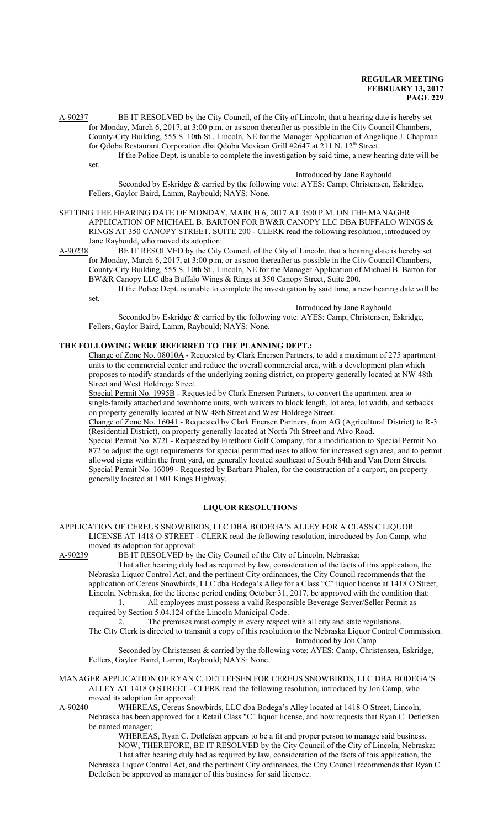A-90237 BE IT RESOLVED by the City Council, of the City of Lincoln, that a hearing date is hereby set for Monday, March 6, 2017, at 3:00 p.m. or as soon thereafter as possible in the City Council Chambers, County-City Building, 555 S. 10th St., Lincoln, NE for the Manager Application of Angelique J. Chapman for Qdoba Restaurant Corporation dba Qdoba Mexican Grill #2647 at 211 N. 12<sup>th</sup> Street.

If the Police Dept. is unable to complete the investigation by said time, a new hearing date will be set.

### Introduced by Jane Raybould

Seconded by Eskridge & carried by the following vote: AYES: Camp, Christensen, Eskridge, Fellers, Gaylor Baird, Lamm, Raybould; NAYS: None.

SETTING THE HEARING DATE OF MONDAY, MARCH 6, 2017 AT 3:00 P.M. ON THE MANAGER APPLICATION OF MICHAEL B. BARTON FOR BW&R CANOPY LLC DBA BUFFALO WINGS & RINGS AT 350 CANOPY STREET, SUITE 200 - CLERK read the following resolution, introduced by Jane Raybould, who moved its adoption:

A-90238 BE IT RESOLVED by the City Council, of the City of Lincoln, that a hearing date is hereby set for Monday, March 6, 2017, at 3:00 p.m. or as soon thereafter as possible in the City Council Chambers, County-City Building, 555 S. 10th St., Lincoln, NE for the Manager Application of Michael B. Barton for BW&R Canopy LLC dba Buffalo Wings & Rings at 350 Canopy Street, Suite 200.

If the Police Dept. is unable to complete the investigation by said time, a new hearing date will be set.

Introduced by Jane Raybould

Seconded by Eskridge & carried by the following vote: AYES: Camp, Christensen, Eskridge, Fellers, Gaylor Baird, Lamm, Raybould; NAYS: None.

#### **THE FOLLOWING WERE REFERRED TO THE PLANNING DEPT.:**

Change of Zone No. 08010A - Requested by Clark Enersen Partners, to add a maximum of 275 apartment units to the commercial center and reduce the overall commercial area, with a development plan which proposes to modify standards of the underlying zoning district, on property generally located at NW 48th Street and West Holdrege Street.

Special Permit No. 1995B - Requested by Clark Enersen Partners, to convert the apartment area to single-family attached and townhome units, with waivers to block length, lot area, lot width, and setbacks on property generally located at NW 48th Street and West Holdrege Street.

Change of Zone No. 16041 - Requested by Clark Enersen Partners, from AG (Agricultural District) to R-3 (Residential District), on property generally located at North 7th Street and Alvo Road.

Special Permit No. 872I - Requested by Firethorn Golf Company, for a modification to Special Permit No. 872 to adjust the sign requirements for special permitted uses to allow for increased sign area, and to permit allowed signs within the front yard, on generally located southeast of South 84th and Van Dorn Streets. Special Permit No. 16009 - Requested by Barbara Phalen, for the construction of a carport, on property generally located at 1801 Kings Highway.

### **LIQUOR RESOLUTIONS**

APPLICATION OF CEREUS SNOWBIRDS, LLC DBA BODEGA'S ALLEY FOR A CLASS C LIQUOR LICENSE AT 1418 O STREET - CLERK read the following resolution, introduced by Jon Camp, who moved its adoption for approval:<br>A-90239 BE IT RESOLVED by t

BE IT RESOLVED by the City Council of the City of Lincoln, Nebraska:

That after hearing duly had as required by law, consideration of the facts of this application, the Nebraska Liquor Control Act, and the pertinent City ordinances, the City Council recommends that the application of Cereus Snowbirds, LLC dba Bodega's Alley for a Class "C" liquor license at 1418 O Street, Lincoln, Nebraska, for the license period ending October 31, 2017, be approved with the condition that: 1. All employees must possess a valid Responsible Beverage Server/Seller Permit as

required by Section 5.04.124 of the Lincoln Municipal Code.

2. The premises must comply in every respect with all city and state regulations. The City Clerk is directed to transmit a copy of this resolution to the Nebraska Liquor Control Commission. Introduced by Jon Camp

Seconded by Christensen & carried by the following vote: AYES: Camp, Christensen, Eskridge, Fellers, Gaylor Baird, Lamm, Raybould; NAYS: None.

MANAGER APPLICATION OF RYAN C. DETLEFSEN FOR CEREUS SNOWBIRDS, LLC DBA BODEGA'S ALLEY AT 1418 O STREET - CLERK read the following resolution, introduced by Jon Camp, who moved its adoption for approval:

A-90240 WHEREAS, Cereus Snowbirds, LLC dba Bodega's Alley located at 1418 O Street, Lincoln, Nebraska has been approved for a Retail Class "C" liquor license, and now requests that Ryan C. Detlefsen be named manager;

WHEREAS, Ryan C. Detlefsen appears to be a fit and proper person to manage said business. NOW, THEREFORE, BE IT RESOLVED by the City Council of the City of Lincoln, Nebraska: That after hearing duly had as required by law, consideration of the facts of this application, the Nebraska Liquor Control Act, and the pertinent City ordinances, the City Council recommends that Ryan C. Detlefsen be approved as manager of this business for said licensee.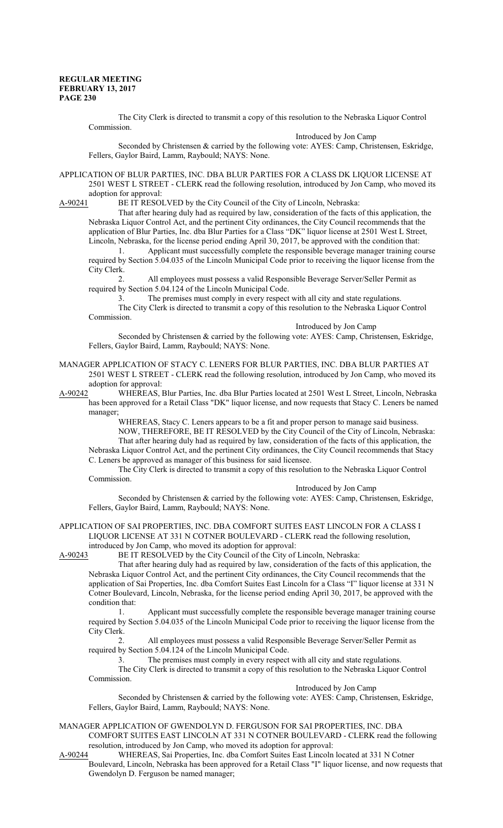The City Clerk is directed to transmit a copy of this resolution to the Nebraska Liquor Control Commission.

Introduced by Jon Camp

Seconded by Christensen & carried by the following vote: AYES: Camp, Christensen, Eskridge, Fellers, Gaylor Baird, Lamm, Raybould; NAYS: None.

APPLICATION OF BLUR PARTIES, INC. DBA BLUR PARTIES FOR A CLASS DK LIQUOR LICENSE AT 2501 WEST L STREET - CLERK read the following resolution, introduced by Jon Camp, who moved its adoption for approval:

A-90241 BE IT RESOLVED by the City Council of the City of Lincoln, Nebraska:

That after hearing duly had as required by law, consideration of the facts of this application, the Nebraska Liquor Control Act, and the pertinent City ordinances, the City Council recommends that the application of Blur Parties, Inc. dba Blur Parties for a Class "DK" liquor license at 2501 West L Street, Lincoln, Nebraska, for the license period ending April 30, 2017, be approved with the condition that:

1. Applicant must successfully complete the responsible beverage manager training course required by Section 5.04.035 of the Lincoln Municipal Code prior to receiving the liquor license from the City Clerk.

2. All employees must possess a valid Responsible Beverage Server/Seller Permit as required by Section 5.04.124 of the Lincoln Municipal Code.

3. The premises must comply in every respect with all city and state regulations.

The City Clerk is directed to transmit a copy of this resolution to the Nebraska Liquor Control Commission.

Introduced by Jon Camp

Seconded by Christensen & carried by the following vote: AYES: Camp, Christensen, Eskridge, Fellers, Gaylor Baird, Lamm, Raybould; NAYS: None.

MANAGER APPLICATION OF STACY C. LENERS FOR BLUR PARTIES, INC. DBA BLUR PARTIES AT 2501 WEST L STREET - CLERK read the following resolution, introduced by Jon Camp, who moved its adoption for approval:

A-90242 WHEREAS, Blur Parties, Inc. dba Blur Parties located at 2501 West L Street, Lincoln, Nebraska has been approved for a Retail Class "DK" liquor license, and now requests that Stacy C. Leners be named manager;

WHEREAS, Stacy C. Leners appears to be a fit and proper person to manage said business. NOW, THEREFORE, BE IT RESOLVED by the City Council of the City of Lincoln, Nebraska: That after hearing duly had as required by law, consideration of the facts of this application, the

Nebraska Liquor Control Act, and the pertinent City ordinances, the City Council recommends that Stacy C. Leners be approved as manager of this business for said licensee.

The City Clerk is directed to transmit a copy of this resolution to the Nebraska Liquor Control Commission.

Introduced by Jon Camp

Seconded by Christensen & carried by the following vote: AYES: Camp, Christensen, Eskridge, Fellers, Gaylor Baird, Lamm, Raybould; NAYS: None.

APPLICATION OF SAI PROPERTIES, INC. DBA COMFORT SUITES EAST LINCOLN FOR A CLASS I LIQUOR LICENSE AT 331 N COTNER BOULEVARD - CLERK read the following resolution,

introduced by Jon Camp, who moved its adoption for approval:<br>A-90243 BE IT RESOLVED by the City Council of the City of BE IT RESOLVED by the City Council of the City of Lincoln, Nebraska:

That after hearing duly had as required by law, consideration of the facts of this application, the Nebraska Liquor Control Act, and the pertinent City ordinances, the City Council recommends that the application of Sai Properties, Inc. dba Comfort Suites East Lincoln for a Class "I" liquor license at 331 N Cotner Boulevard, Lincoln, Nebraska, for the license period ending April 30, 2017, be approved with the condition that:

1. Applicant must successfully complete the responsible beverage manager training course required by Section 5.04.035 of the Lincoln Municipal Code prior to receiving the liquor license from the City Clerk.

2. All employees must possess a valid Responsible Beverage Server/Seller Permit as required by Section 5.04.124 of the Lincoln Municipal Code.

3. The premises must comply in every respect with all city and state regulations.

The City Clerk is directed to transmit a copy of this resolution to the Nebraska Liquor Control Commission.

Introduced by Jon Camp

Seconded by Christensen & carried by the following vote: AYES: Camp, Christensen, Eskridge, Fellers, Gaylor Baird, Lamm, Raybould; NAYS: None.

MANAGER APPLICATION OF GWENDOLYN D. FERGUSON FOR SAI PROPERTIES, INC. DBA COMFORT SUITES EAST LINCOLN AT 331 N COTNER BOULEVARD - CLERK read the following resolution, introduced by Jon Camp, who moved its adoption for approval:

A-90244 WHEREAS, Sai Properties, Inc. dba Comfort Suites East Lincoln located at 331 N Cotner Boulevard, Lincoln, Nebraska has been approved for a Retail Class "I" liquor license, and now requests that Gwendolyn D. Ferguson be named manager;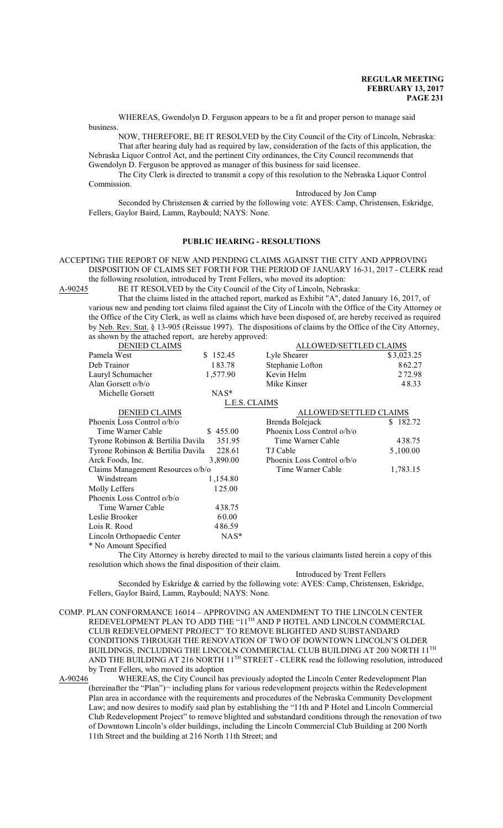WHEREAS, Gwendolyn D. Ferguson appears to be a fit and proper person to manage said business.

NOW, THEREFORE, BE IT RESOLVED by the City Council of the City of Lincoln, Nebraska: That after hearing duly had as required by law, consideration of the facts of this application, the Nebraska Liquor Control Act, and the pertinent City ordinances, the City Council recommends that Gwendolyn D. Ferguson be approved as manager of this business for said licensee.

The City Clerk is directed to transmit a copy of this resolution to the Nebraska Liquor Control Commission.

Introduced by Jon Camp

Seconded by Christensen & carried by the following vote: AYES: Camp, Christensen, Eskridge, Fellers, Gaylor Baird, Lamm, Raybould; NAYS: None.

#### **PUBLIC HEARING - RESOLUTIONS**

#### ACCEPTING THE REPORT OF NEW AND PENDING CLAIMS AGAINST THE CITY AND APPROVING DISPOSITION OF CLAIMS SET FORTH FOR THE PERIOD OF JANUARY 16-31, 2017 - CLERK read the following resolution, introduced by Trent Fellers, who moved its adoption:

A-90245 BE IT RESOLVED by the City Council of the City of Lincoln, Nebraska:

That the claims listed in the attached report, marked as Exhibit "A", dated January 16, 2017, of various new and pending tort claims filed against the City of Lincoln with the Office of the City Attorney or the Office of the City Clerk, as well as claims which have been disposed of, are hereby received as required by Neb. Rev. Stat. § 13-905 (Reissue 1997). The dispositions of claims by the Office of the City Attorney, as shown by the attached report, are hereby approved:

| <b>DENIED CLAIMS</b>              |               | ALLOWED/SETTLED CLAIMS                                                                           |            |
|-----------------------------------|---------------|--------------------------------------------------------------------------------------------------|------------|
| Pamela West                       | \$152.45      | Lyle Shearer                                                                                     | \$3,023.25 |
| Deb Trainor                       | 183.78        | Stephanie Lofton                                                                                 | 862.27     |
| Lauryl Schumacher                 | 1,577.90      | Kevin Helm                                                                                       | 272.98     |
| Alan Gorsett o/b/o                |               | Mike Kinser                                                                                      | 48.33      |
| Michelle Gorsett                  | $NAS^*$       |                                                                                                  |            |
|                                   | L.E.S. CLAIMS |                                                                                                  |            |
| <b>DENIED CLAIMS</b>              |               | ALLOWED/SETTLED CLAIMS                                                                           |            |
| Phoenix Loss Control o/b/o        |               | Brenda Bolejack                                                                                  | \$182.72   |
| Time Warner Cable                 | \$455.00      | Phoenix Loss Control o/b/o                                                                       |            |
| Tyrone Robinson & Bertilia Davila | 351.95        | Time Warner Cable                                                                                | 438.75     |
| Tyrone Robinson & Bertilia Davila | 228.61        | TJ Cable                                                                                         | 5,100.00   |
| Arck Foods, Inc.                  | 3,890.00      | Phoenix Loss Control o/b/o                                                                       |            |
| Claims Management Resources o/b/o |               | Time Warner Cable                                                                                | 1,783.15   |
| Windstream                        | 1,154.80      |                                                                                                  |            |
| Molly Leffers                     | 125.00        |                                                                                                  |            |
| Phoenix Loss Control o/b/o        |               |                                                                                                  |            |
| Time Warner Cable                 | 438.75        |                                                                                                  |            |
| Leslie Brooker                    | 60.00         |                                                                                                  |            |
| Lois R. Rood                      | 486.59        |                                                                                                  |            |
| Lincoln Orthopaedic Center        | $NAS^*$       |                                                                                                  |            |
| * No Amount Specified             |               |                                                                                                  |            |
|                                   |               | The City Attorney is hereby directed to mail to the various claimants listed herein a copy of th |            |

Attorney is hereby directed to mail to the various claimants listed herein a copy of this resolution which shows the final disposition of their claim.

#### Introduced by Trent Fellers

Seconded by Eskridge & carried by the following vote: AYES: Camp, Christensen, Eskridge, Fellers, Gaylor Baird, Lamm, Raybould; NAYS: None.

COMP. PLAN CONFORMANCE 16014 – APPROVING AN AMENDMENT TO THE LINCOLN CENTER REDEVELOPMENT PLAN TO ADD THE "11<sup>th</sup> AND P HOTEL AND LINCOLN COMMERCIAL CLUB REDEVELOPMENT PROJECT" TO REMOVE BLIGHTED AND SUBSTANDARD CONDITIONS THROUGH THE RENOVATION OF TWO OF DOWNTOWN LINCOLN'S OLDER BUILDINGS, INCLUDING THE LINCOLN COMMERCIAL CLUB BUILDING AT 200 NORTH  $11^{\rm{TH}}$ AND THE BUILDING AT 216 NORTH 11<sup>TH</sup> STREET - CLERK read the following resolution, introduced by Trent Fellers, who moved its adoption<br>A-90246 WHEREAS, the City Council has

WHEREAS, the City Council has previously adopted the Lincoln Center Redevelopment Plan (hereinafter the "Plan")¬ including plans for various redevelopment projects within the Redevelopment Plan area in accordance with the requirements and procedures of the Nebraska Community Development Law; and now desires to modify said plan by establishing the "11th and P Hotel and Lincoln Commercial Club Redevelopment Project" to remove blighted and substandard conditions through the renovation of two of Downtown Lincoln's older buildings, including the Lincoln Commercial Club Building at 200 North 11th Street and the building at 216 North 11th Street; and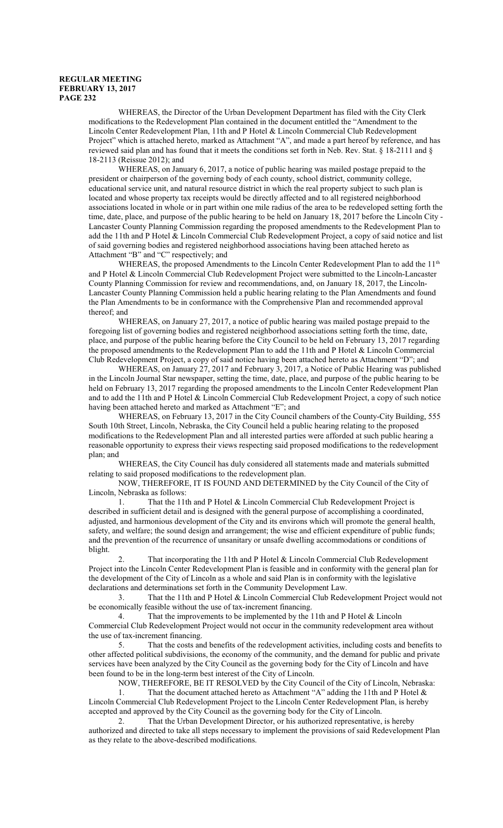WHEREAS, the Director of the Urban Development Department has filed with the City Clerk modifications to the Redevelopment Plan contained in the document entitled the "Amendment to the Lincoln Center Redevelopment Plan, 11th and P Hotel & Lincoln Commercial Club Redevelopment Project" which is attached hereto, marked as Attachment "A", and made a part hereof by reference, and has reviewed said plan and has found that it meets the conditions set forth in Neb. Rev. Stat. § 18-2111 and § 18-2113 (Reissue 2012); and

WHEREAS, on January 6, 2017, a notice of public hearing was mailed postage prepaid to the president or chairperson of the governing body of each county, school district, community college, educational service unit, and natural resource district in which the real property subject to such plan is located and whose property tax receipts would be directly affected and to all registered neighborhood associations located in whole or in part within one mile radius of the area to be redeveloped setting forth the time, date, place, and purpose of the public hearing to be held on January 18, 2017 before the Lincoln City - Lancaster County Planning Commission regarding the proposed amendments to the Redevelopment Plan to add the 11th and P Hotel & Lincoln Commercial Club Redevelopment Project, a copy of said notice and list of said governing bodies and registered neighborhood associations having been attached hereto as Attachment "B" and "C" respectively; and

WHEREAS, the proposed Amendments to the Lincoln Center Redevelopment Plan to add the 11<sup>th</sup> and P Hotel & Lincoln Commercial Club Redevelopment Project were submitted to the Lincoln-Lancaster County Planning Commission for review and recommendations, and, on January 18, 2017, the Lincoln-Lancaster County Planning Commission held a public hearing relating to the Plan Amendments and found the Plan Amendments to be in conformance with the Comprehensive Plan and recommended approval thereof; and

WHEREAS, on January 27, 2017, a notice of public hearing was mailed postage prepaid to the foregoing list of governing bodies and registered neighborhood associations setting forth the time, date, place, and purpose of the public hearing before the City Council to be held on February 13, 2017 regarding the proposed amendments to the Redevelopment Plan to add the 11th and P Hotel & Lincoln Commercial Club Redevelopment Project, a copy of said notice having been attached hereto as Attachment "D"; and

WHEREAS, on January 27, 2017 and February 3, 2017, a Notice of Public Hearing was published in the Lincoln Journal Star newspaper, setting the time, date, place, and purpose of the public hearing to be held on February 13, 2017 regarding the proposed amendments to the Lincoln Center Redevelopment Plan and to add the 11th and P Hotel & Lincoln Commercial Club Redevelopment Project, a copy of such notice having been attached hereto and marked as Attachment "E"; and

WHEREAS, on February 13, 2017 in the City Council chambers of the County-City Building, 555 South 10th Street, Lincoln, Nebraska, the City Council held a public hearing relating to the proposed modifications to the Redevelopment Plan and all interested parties were afforded at such public hearing a reasonable opportunity to express their views respecting said proposed modifications to the redevelopment plan; and

WHEREAS, the City Council has duly considered all statements made and materials submitted relating to said proposed modifications to the redevelopment plan.

NOW, THEREFORE, IT IS FOUND AND DETERMINED by the City Council of the City of Lincoln, Nebraska as follows:

1. That the 11th and P Hotel & Lincoln Commercial Club Redevelopment Project is described in sufficient detail and is designed with the general purpose of accomplishing a coordinated, adjusted, and harmonious development of the City and its environs which will promote the general health, safety, and welfare; the sound design and arrangement; the wise and efficient expenditure of public funds; and the prevention of the recurrence of unsanitary or unsafe dwelling accommodations or conditions of blight.

2. That incorporating the 11th and P Hotel & Lincoln Commercial Club Redevelopment Project into the Lincoln Center Redevelopment Plan is feasible and in conformity with the general plan for the development of the City of Lincoln as a whole and said Plan is in conformity with the legislative declarations and determinations set forth in the Community Development Law.

3. That the 11th and P Hotel & Lincoln Commercial Club Redevelopment Project would not be economically feasible without the use of tax-increment financing.

4. That the improvements to be implemented by the 11th and P Hotel & Lincoln Commercial Club Redevelopment Project would not occur in the community redevelopment area without the use of tax-increment financing.

5. That the costs and benefits of the redevelopment activities, including costs and benefits to other affected political subdivisions, the economy of the community, and the demand for public and private services have been analyzed by the City Council as the governing body for the City of Lincoln and have been found to be in the long-term best interest of the City of Lincoln.

NOW, THEREFORE, BE IT RESOLVED by the City Council of the City of Lincoln, Nebraska:<br>1 That the document attached hereto as Attachment "A" adding the 11th and P Hotel  $\&$ That the document attached hereto as Attachment "A" adding the 11th and P Hotel  $\&$ Lincoln Commercial Club Redevelopment Project to the Lincoln Center Redevelopment Plan, is hereby

accepted and approved by the City Council as the governing body for the City of Lincoln. 2. That the Urban Development Director, or his authorized representative, is hereby

authorized and directed to take all steps necessary to implement the provisions of said Redevelopment Plan as they relate to the above-described modifications.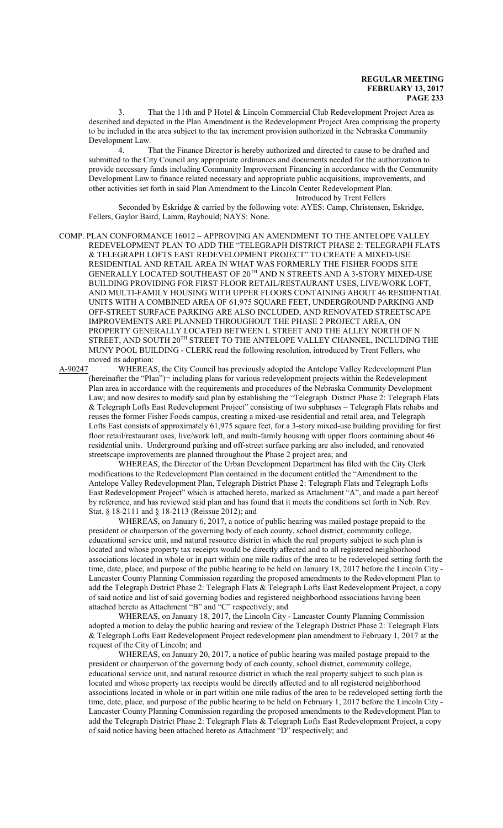3. That the 11th and P Hotel & Lincoln Commercial Club Redevelopment Project Area as described and depicted in the Plan Amendment is the Redevelopment Project Area comprising the property to be included in the area subject to the tax increment provision authorized in the Nebraska Community Development Law.

That the Finance Director is hereby authorized and directed to cause to be drafted and submitted to the City Council any appropriate ordinances and documents needed for the authorization to provide necessary funds including Community Improvement Financing in accordance with the Community Development Law to finance related necessary and appropriate public acquisitions, improvements, and other activities set forth in said Plan Amendment to the Lincoln Center Redevelopment Plan.

Introduced by Trent Fellers

Seconded by Eskridge & carried by the following vote: AYES: Camp, Christensen, Eskridge, Fellers, Gaylor Baird, Lamm, Raybould; NAYS: None.

COMP. PLAN CONFORMANCE 16012 – APPROVING AN AMENDMENT TO THE ANTELOPE VALLEY REDEVELOPMENT PLAN TO ADD THE "TELEGRAPH DISTRICT PHASE 2: TELEGRAPH FLATS & TELEGRAPH LOFTS EAST REDEVELOPMENT PROJECT" TO CREATE A MIXED-USE RESIDENTIAL AND RETAIL AREA IN WHAT WAS FORMERLY THE FISHER FOODS SITE GENERALLY LOCATED SOUTHEAST OF 20 TH AND N STREETS AND A 3-STORY MIXED-USE BUILDING PROVIDING FOR FIRST FLOOR RETAIL/RESTAURANT USES, LIVE/WORK LOFT, AND MULTI-FAMILY HOUSING WITH UPPER FLOORS CONTAINING ABOUT 46 RESIDENTIAL UNITS WITH A COMBINED AREA OF 61,975 SQUARE FEET, UNDERGROUND PARKING AND OFF-STREET SURFACE PARKING ARE ALSO INCLUDED, AND RENOVATED STREETSCAPE IMPROVEMENTS ARE PLANNED THROUGHOUT THE PHASE 2 PROJECT AREA, ON PROPERTY GENERALLY LOCATED BETWEEN L STREET AND THE ALLEY NORTH OF N STREET, AND SOUTH  $20^{\rm TH}$  STREET TO THE ANTELOPE VALLEY CHANNEL, INCLUDING THE MUNY POOL BUILDING - CLERK read the following resolution, introduced by Trent Fellers, who moved its adoption:

A-90247 WHEREAS, the City Council has previously adopted the Antelope Valley Redevelopment Plan (hereinafter the "Plan")¬ including plans for various redevelopment projects within the Redevelopment Plan area in accordance with the requirements and procedures of the Nebraska Community Development Law; and now desires to modify said plan by establishing the "Telegraph District Phase 2: Telegraph Flats & Telegraph Lofts East Redevelopment Project" consisting of two subphases – Telegraph Flats rehabs and reuses the former Fisher Foods campus, creating a mixed-use residential and retail area, and Telegraph Lofts East consists of approximately 61,975 square feet, for a 3-story mixed-use building providing for first floor retail/restaurant uses, live/work loft, and multi-family housing with upper floors containing about 46 residential units. Underground parking and off-street surface parking are also included, and renovated streetscape improvements are planned throughout the Phase 2 project area; and

WHEREAS, the Director of the Urban Development Department has filed with the City Clerk modifications to the Redevelopment Plan contained in the document entitled the "Amendment to the Antelope Valley Redevelopment Plan, Telegraph District Phase 2: Telegraph Flats and Telegraph Lofts East Redevelopment Project" which is attached hereto, marked as Attachment "A", and made a part hereof by reference, and has reviewed said plan and has found that it meets the conditions set forth in Neb. Rev. Stat. § 18-2111 and § 18-2113 (Reissue 2012); and

WHEREAS, on January 6, 2017, a notice of public hearing was mailed postage prepaid to the president or chairperson of the governing body of each county, school district, community college, educational service unit, and natural resource district in which the real property subject to such plan is located and whose property tax receipts would be directly affected and to all registered neighborhood associations located in whole or in part within one mile radius of the area to be redeveloped setting forth the time, date, place, and purpose of the public hearing to be held on January 18, 2017 before the Lincoln City - Lancaster County Planning Commission regarding the proposed amendments to the Redevelopment Plan to add the Telegraph District Phase 2: Telegraph Flats & Telegraph Lofts East Redevelopment Project, a copy of said notice and list of said governing bodies and registered neighborhood associations having been attached hereto as Attachment "B" and "C" respectively; and

WHEREAS, on January 18, 2017, the Lincoln City - Lancaster County Planning Commission adopted a motion to delay the public hearing and review of the Telegraph District Phase 2: Telegraph Flats & Telegraph Lofts East Redevelopment Project redevelopment plan amendment to February 1, 2017 at the request of the City of Lincoln; and

WHEREAS, on January 20, 2017, a notice of public hearing was mailed postage prepaid to the president or chairperson of the governing body of each county, school district, community college, educational service unit, and natural resource district in which the real property subject to such plan is located and whose property tax receipts would be directly affected and to all registered neighborhood associations located in whole or in part within one mile radius of the area to be redeveloped setting forth the time, date, place, and purpose of the public hearing to be held on February 1, 2017 before the Lincoln City - Lancaster County Planning Commission regarding the proposed amendments to the Redevelopment Plan to add the Telegraph District Phase 2: Telegraph Flats & Telegraph Lofts East Redevelopment Project, a copy of said notice having been attached hereto as Attachment "D" respectively; and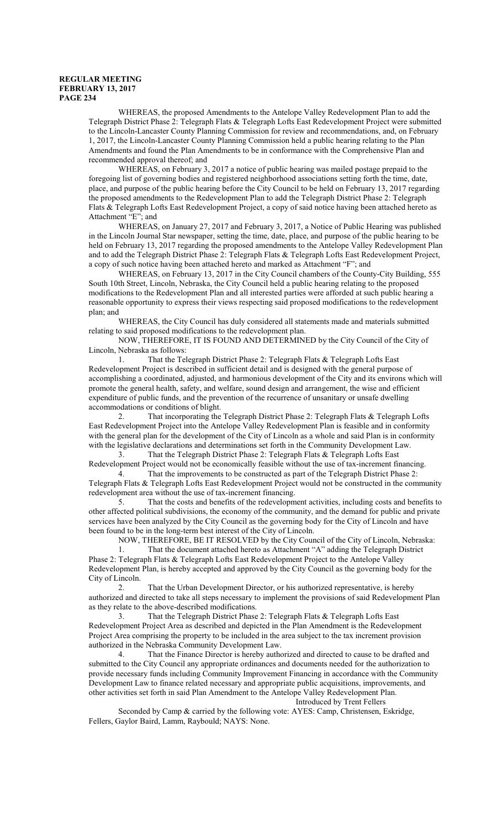WHEREAS, the proposed Amendments to the Antelope Valley Redevelopment Plan to add the Telegraph District Phase 2: Telegraph Flats & Telegraph Lofts East Redevelopment Project were submitted to the Lincoln-Lancaster County Planning Commission for review and recommendations, and, on February 1, 2017, the Lincoln-Lancaster County Planning Commission held a public hearing relating to the Plan Amendments and found the Plan Amendments to be in conformance with the Comprehensive Plan and recommended approval thereof; and

WHEREAS, on February 3, 2017 a notice of public hearing was mailed postage prepaid to the foregoing list of governing bodies and registered neighborhood associations setting forth the time, date, place, and purpose of the public hearing before the City Council to be held on February 13, 2017 regarding the proposed amendments to the Redevelopment Plan to add the Telegraph District Phase 2: Telegraph Flats & Telegraph Lofts East Redevelopment Project, a copy of said notice having been attached hereto as Attachment "E"; and

WHEREAS, on January 27, 2017 and February 3, 2017, a Notice of Public Hearing was published in the Lincoln Journal Star newspaper, setting the time, date, place, and purpose of the public hearing to be held on February 13, 2017 regarding the proposed amendments to the Antelope Valley Redevelopment Plan and to add the Telegraph District Phase 2: Telegraph Flats & Telegraph Lofts East Redevelopment Project, a copy of such notice having been attached hereto and marked as Attachment "F"; and

WHEREAS, on February 13, 2017 in the City Council chambers of the County-City Building, 555 South 10th Street, Lincoln, Nebraska, the City Council held a public hearing relating to the proposed modifications to the Redevelopment Plan and all interested parties were afforded at such public hearing a reasonable opportunity to express their views respecting said proposed modifications to the redevelopment plan; and

WHEREAS, the City Council has duly considered all statements made and materials submitted relating to said proposed modifications to the redevelopment plan.

NOW, THEREFORE, IT IS FOUND AND DETERMINED by the City Council of the City of Lincoln, Nebraska as follows:

1. That the Telegraph District Phase 2: Telegraph Flats & Telegraph Lofts East Redevelopment Project is described in sufficient detail and is designed with the general purpose of accomplishing a coordinated, adjusted, and harmonious development of the City and its environs which will promote the general health, safety, and welfare, sound design and arrangement, the wise and efficient expenditure of public funds, and the prevention of the recurrence of unsanitary or unsafe dwelling accommodations or conditions of blight.

2. That incorporating the Telegraph District Phase 2: Telegraph Flats & Telegraph Lofts East Redevelopment Project into the Antelope Valley Redevelopment Plan is feasible and in conformity with the general plan for the development of the City of Lincoln as a whole and said Plan is in conformity with the legislative declarations and determinations set forth in the Community Development Law.<br>3. That the Telegraph District Phase 2: Telegraph Flats & Telegraph Lofts East

That the Telegraph District Phase 2: Telegraph Flats & Telegraph Lofts East Redevelopment Project would not be economically feasible without the use of tax-increment financing.

4. That the improvements to be constructed as part of the Telegraph District Phase 2: Telegraph Flats & Telegraph Lofts East Redevelopment Project would not be constructed in the community redevelopment area without the use of tax-increment financing.

5. That the costs and benefits of the redevelopment activities, including costs and benefits to other affected political subdivisions, the economy of the community, and the demand for public and private services have been analyzed by the City Council as the governing body for the City of Lincoln and have been found to be in the long-term best interest of the City of Lincoln.

NOW, THEREFORE, BE IT RESOLVED by the City Council of the City of Lincoln, Nebraska:

1. That the document attached hereto as Attachment "A" adding the Telegraph District Phase 2: Telegraph Flats & Telegraph Lofts East Redevelopment Project to the Antelope Valley Redevelopment Plan, is hereby accepted and approved by the City Council as the governing body for the City of Lincoln.

2. That the Urban Development Director, or his authorized representative, is hereby authorized and directed to take all steps necessary to implement the provisions of said Redevelopment Plan as they relate to the above-described modifications.

3. That the Telegraph District Phase 2: Telegraph Flats & Telegraph Lofts East Redevelopment Project Area as described and depicted in the Plan Amendment is the Redevelopment Project Area comprising the property to be included in the area subject to the tax increment provision authorized in the Nebraska Community Development Law.

4. That the Finance Director is hereby authorized and directed to cause to be drafted and submitted to the City Council any appropriate ordinances and documents needed for the authorization to provide necessary funds including Community Improvement Financing in accordance with the Community Development Law to finance related necessary and appropriate public acquisitions, improvements, and other activities set forth in said Plan Amendment to the Antelope Valley Redevelopment Plan. Introduced by Trent Fellers

Seconded by Camp & carried by the following vote: AYES: Camp, Christensen, Eskridge, Fellers, Gaylor Baird, Lamm, Raybould; NAYS: None.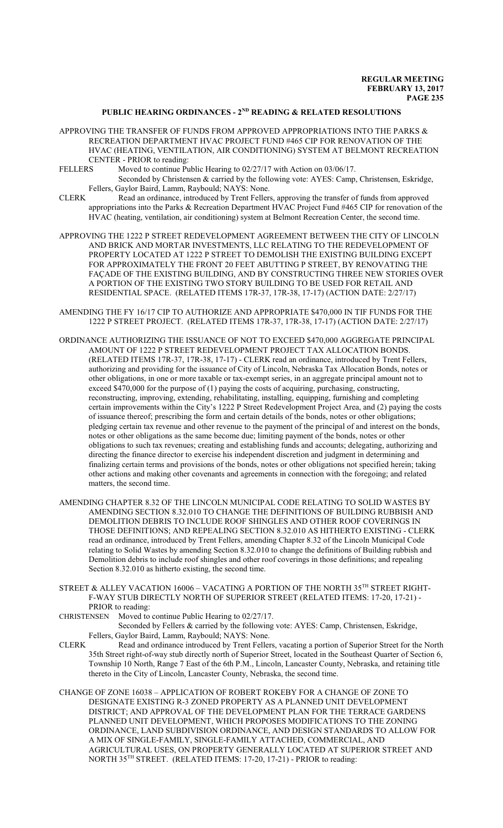### **PUBLIC HEARING ORDINANCES - 2ND READING & RELATED RESOLUTIONS**

- APPROVING THE TRANSFER OF FUNDS FROM APPROVED APPROPRIATIONS INTO THE PARKS  $\&$ RECREATION DEPARTMENT HVAC PROJECT FUND #465 CIP FOR RENOVATION OF THE HVAC (HEATING, VENTILATION, AIR CONDITIONING) SYSTEM AT BELMONT RECREATION CENTER - PRIOR to reading:<br>FELLERS Moved to continue Pu
- Moved to continue Public Hearing to  $02/27/17$  with Action on  $03/06/17$ . Seconded by Christensen & carried by the following vote: AYES: Camp, Christensen, Eskridge, Fellers, Gaylor Baird, Lamm, Raybould; NAYS: None.
- CLERK Read an ordinance, introduced by Trent Fellers, approving the transfer of funds from approved appropriations into the Parks & Recreation Department HVAC Project Fund #465 CIP for renovation of the HVAC (heating, ventilation, air conditioning) system at Belmont Recreation Center, the second time.
- APPROVING THE 1222 P STREET REDEVELOPMENT AGREEMENT BETWEEN THE CITY OF LINCOLN AND BRICK AND MORTAR INVESTMENTS, LLC RELATING TO THE REDEVELOPMENT OF PROPERTY LOCATED AT 1222 P STREET TO DEMOLISH THE EXISTING BUILDING EXCEPT FOR APPROXIMATELY THE FRONT 20 FEET ABUTTING P STREET, BY RENOVATING THE FAÇADE OF THE EXISTING BUILDING, AND BY CONSTRUCTING THREE NEW STORIES OVER A PORTION OF THE EXISTING TWO STORY BUILDING TO BE USED FOR RETAIL AND RESIDENTIAL SPACE. (RELATED ITEMS 17R-37, 17R-38, 17-17) (ACTION DATE: 2/27/17)
- AMENDING THE FY 16/17 CIP TO AUTHORIZE AND APPROPRIATE \$470,000 IN TIF FUNDS FOR THE 1222 P STREET PROJECT. (RELATED ITEMS 17R-37, 17R-38, 17-17) (ACTION DATE: 2/27/17)
- ORDINANCE AUTHORIZING THE ISSUANCE OF NOT TO EXCEED \$470,000 AGGREGATE PRINCIPAL AMOUNT OF 1222 P STREET REDEVELOPMENT PROJECT TAX ALLOCATION BONDS. (RELATED ITEMS 17R-37, 17R-38, 17-17) - CLERK read an ordinance, introduced by Trent Fellers, authorizing and providing for the issuance of City of Lincoln, Nebraska Tax Allocation Bonds, notes or other obligations, in one or more taxable or tax-exempt series, in an aggregate principal amount not to exceed \$470,000 for the purpose of (1) paying the costs of acquiring, purchasing, constructing, reconstructing, improving, extending, rehabilitating, installing, equipping, furnishing and completing certain improvements within the City's 1222 P Street Redevelopment Project Area, and (2) paying the costs of issuance thereof; prescribing the form and certain details of the bonds, notes or other obligations; pledging certain tax revenue and other revenue to the payment of the principal of and interest on the bonds, notes or other obligations as the same become due; limiting payment of the bonds, notes or other obligations to such tax revenues; creating and establishing funds and accounts; delegating, authorizing and directing the finance director to exercise his independent discretion and judgment in determining and finalizing certain terms and provisions of the bonds, notes or other obligations not specified herein; taking other actions and making other covenants and agreements in connection with the foregoing; and related matters, the second time.
- AMENDING CHAPTER 8.32 OF THE LINCOLN MUNICIPAL CODE RELATING TO SOLID WASTES BY AMENDING SECTION 8.32.010 TO CHANGE THE DEFINITIONS OF BUILDING RUBBISH AND DEMOLITION DEBRIS TO INCLUDE ROOF SHINGLES AND OTHER ROOF COVERINGS IN THOSE DEFINITIONS; AND REPEALING SECTION 8.32.010 AS HITHERTO EXISTING - CLERK read an ordinance, introduced by Trent Fellers, amending Chapter 8.32 of the Lincoln Municipal Code relating to Solid Wastes by amending Section 8.32.010 to change the definitions of Building rubbish and Demolition debris to include roof shingles and other roof coverings in those definitions; and repealing Section 8.32.010 as hitherto existing, the second time.
- STREET & ALLEY VACATION 16006 VACATING A PORTION OF THE NORTH 35 $^{\text{\tiny{\textsf{TH}}}}$  STREET RIGHT-F-WAY STUB DIRECTLY NORTH OF SUPERIOR STREET (RELATED ITEMS: 17-20, 17-21) - PRIOR to reading:
- CHRISTENSEN Moved to continue Public Hearing to 02/27/17.

Seconded by Fellers & carried by the following vote: AYES: Camp, Christensen, Eskridge, Fellers, Gaylor Baird, Lamm, Raybould; NAYS: None.

- CLERK Read and ordinance introduced by Trent Fellers, vacating a portion of Superior Street for the North 35th Street right-of-way stub directly north of Superior Street, located in the Southeast Quarter of Section 6, Township 10 North, Range 7 East of the 6th P.M., Lincoln, Lancaster County, Nebraska, and retaining title thereto in the City of Lincoln, Lancaster County, Nebraska, the second time.
- CHANGE OF ZONE 16038 APPLICATION OF ROBERT ROKEBY FOR A CHANGE OF ZONE TO DESIGNATE EXISTING R-3 ZONED PROPERTY AS A PLANNED UNIT DEVELOPMENT DISTRICT; AND APPROVAL OF THE DEVELOPMENT PLAN FOR THE TERRACE GARDENS PLANNED UNIT DEVELOPMENT, WHICH PROPOSES MODIFICATIONS TO THE ZONING ORDINANCE, LAND SUBDIVISION ORDINANCE, AND DESIGN STANDARDS TO ALLOW FOR A MIX OF SINGLE-FAMILY, SINGLE-FAMILY ATTACHED, COMMERCIAL, AND AGRICULTURAL USES, ON PROPERTY GENERALLY LOCATED AT SUPERIOR STREET AND NORTH 35 TH STREET. (RELATED ITEMS: 17-20, 17-21) - PRIOR to reading: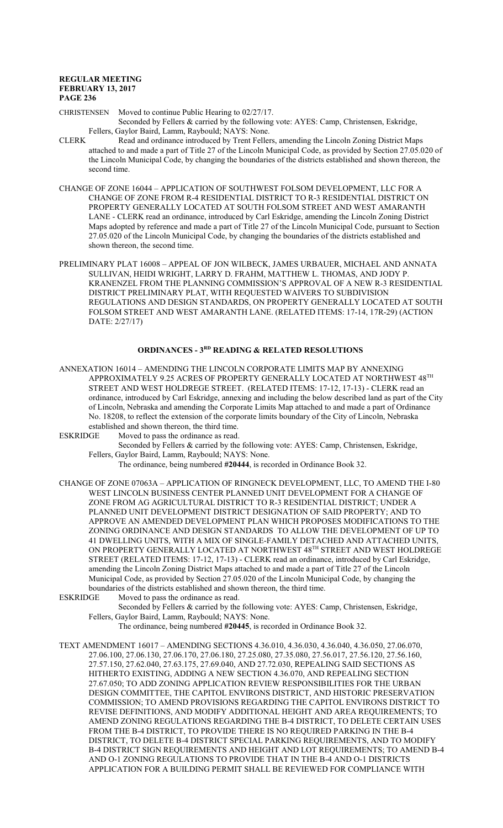CHRISTENSEN Moved to continue Public Hearing to 02/27/17.

- Seconded by Fellers & carried by the following vote: AYES: Camp, Christensen, Eskridge, Fellers, Gaylor Baird, Lamm, Raybould; NAYS: None.
- CLERK Read and ordinance introduced by Trent Fellers, amending the Lincoln Zoning District Maps attached to and made a part of Title 27 of the Lincoln Municipal Code, as provided by Section 27.05.020 of the Lincoln Municipal Code, by changing the boundaries of the districts established and shown thereon, the second time.
- CHANGE OF ZONE 16044 APPLICATION OF SOUTHWEST FOLSOM DEVELOPMENT, LLC FOR A CHANGE OF ZONE FROM R-4 RESIDENTIAL DISTRICT TO R-3 RESIDENTIAL DISTRICT ON PROPERTY GENERALLY LOCATED AT SOUTH FOLSOM STREET AND WEST AMARANTH LANE - CLERK read an ordinance, introduced by Carl Eskridge, amending the Lincoln Zoning District Maps adopted by reference and made a part of Title 27 of the Lincoln Municipal Code, pursuant to Section 27.05.020 of the Lincoln Municipal Code, by changing the boundaries of the districts established and shown thereon, the second time.
- PRELIMINARY PLAT 16008 APPEAL OF JON WILBECK, JAMES URBAUER, MICHAEL AND ANNATA SULLIVAN, HEIDI WRIGHT, LARRY D. FRAHM, MATTHEW L. THOMAS, AND JODY P. KRANENZEL FROM THE PLANNING COMMISSION'S APPROVAL OF A NEW R-3 RESIDENTIAL DISTRICT PRELIMINARY PLAT, WITH REQUESTED WAIVERS TO SUBDIVISION REGULATIONS AND DESIGN STANDARDS, ON PROPERTY GENERALLY LOCATED AT SOUTH FOLSOM STREET AND WEST AMARANTH LANE. (RELATED ITEMS: 17-14, 17R-29) (ACTION DATE: 2/27/17)

### **ORDINANCES - 3RD READING & RELATED RESOLUTIONS**

- ANNEXATION 16014 AMENDING THE LINCOLN CORPORATE LIMITS MAP BY ANNEXING APPROXIMATELY 9.25 ACRES OF PROPERTY GENERALLY LOCATED AT NORTHWEST  $48^{\text{\tiny{TH}}}$ STREET AND WEST HOLDREGE STREET. (RELATED ITEMS: 17-12, 17-13) - CLERK read an ordinance, introduced by Carl Eskridge, annexing and including the below described land as part of the City of Lincoln, Nebraska and amending the Corporate Limits Map attached to and made a part of Ordinance No. 18208, to reflect the extension of the corporate limits boundary of the City of Lincoln, Nebraska established and shown thereon, the third time.
- ESKRIDGE Moved to pass the ordinance as read.
	- Seconded by Fellers & carried by the following vote: AYES: Camp, Christensen, Eskridge, Fellers, Gaylor Baird, Lamm, Raybould; NAYS: None.

The ordinance, being numbered **#20444**, is recorded in Ordinance Book 32.

- CHANGE OF ZONE 07063A APPLICATION OF RINGNECK DEVELOPMENT, LLC, TO AMEND THE I-80 WEST LINCOLN BUSINESS CENTER PLANNED UNIT DEVELOPMENT FOR A CHANGE OF ZONE FROM AG AGRICULTURAL DISTRICT TO R-3 RESIDENTIAL DISTRICT; UNDER A PLANNED UNIT DEVELOPMENT DISTRICT DESIGNATION OF SAID PROPERTY; AND TO APPROVE AN AMENDED DEVELOPMENT PLAN WHICH PROPOSES MODIFICATIONS TO THE ZONING ORDINANCE AND DESIGN STANDARDS TO ALLOW THE DEVELOPMENT OF UP TO 41 DWELLING UNITS, WITH A MIX OF SINGLE-FAMILY DETACHED AND ATTACHED UNITS, ON PROPERTY GENERALLY LOCATED AT NORTHWEST  $48^{\text{TH}}$  STREET AND WEST HOLDREGE STREET (RELATED ITEMS: 17-12, 17-13) - CLERK read an ordinance, introduced by Carl Eskridge, amending the Lincoln Zoning District Maps attached to and made a part of Title 27 of the Lincoln Municipal Code, as provided by Section 27.05.020 of the Lincoln Municipal Code, by changing the boundaries of the districts established and shown thereon, the third time.<br>ESKRIDGE Moved to pass the ordinance as read.
- Moved to pass the ordinance as read.

Seconded by Fellers & carried by the following vote: AYES: Camp, Christensen, Eskridge, Fellers, Gaylor Baird, Lamm, Raybould; NAYS: None.

The ordinance, being numbered **#20445**, is recorded in Ordinance Book 32.

TEXT AMENDMENT 16017 – AMENDING SECTIONS 4.36.010, 4.36.030, 4.36.040, 4.36.050, 27.06.070, 27.06.100, 27.06.130, 27.06.170, 27.06.180, 27.25.080, 27.35.080, 27.56.017, 27.56.120, 27.56.160, 27.57.150, 27.62.040, 27.63.175, 27.69.040, AND 27.72.030, REPEALING SAID SECTIONS AS HITHERTO EXISTING, ADDING A NEW SECTION 4.36.070, AND REPEALING SECTION 27.67.050; TO ADD ZONING APPLICATION REVIEW RESPONSIBILITIES FOR THE URBAN DESIGN COMMITTEE, THE CAPITOL ENVIRONS DISTRICT, AND HISTORIC PRESERVATION COMMISSION; TO AMEND PROVISIONS REGARDING THE CAPITOL ENVIRONS DISTRICT TO REVISE DEFINITIONS, AND MODIFY ADDITIONAL HEIGHT AND AREA REQUIREMENTS; TO AMEND ZONING REGULATIONS REGARDING THE B-4 DISTRICT, TO DELETE CERTAIN USES FROM THE B-4 DISTRICT, TO PROVIDE THERE IS NO REQUIRED PARKING IN THE B-4 DISTRICT, TO DELETE B-4 DISTRICT SPECIAL PARKING REQUIREMENTS, AND TO MODIFY B-4 DISTRICT SIGN REQUIREMENTS AND HEIGHT AND LOT REQUIREMENTS; TO AMEND B-4 AND O-1 ZONING REGULATIONS TO PROVIDE THAT IN THE B-4 AND O-1 DISTRICTS APPLICATION FOR A BUILDING PERMIT SHALL BE REVIEWED FOR COMPLIANCE WITH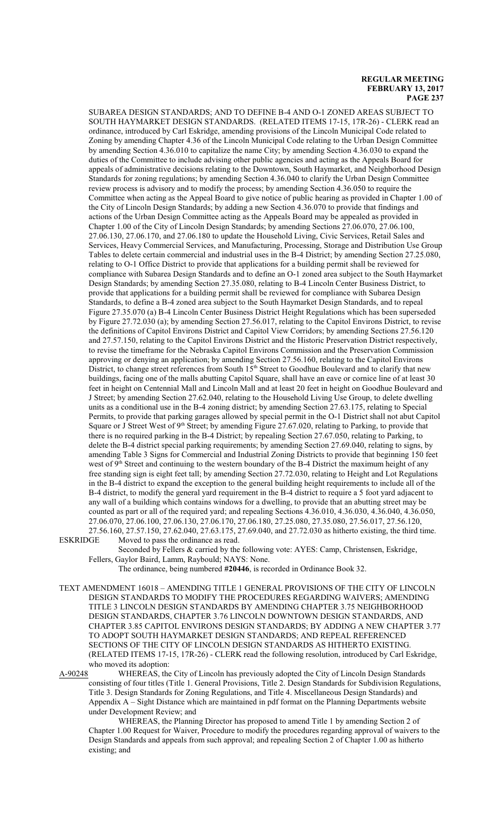SUBAREA DESIGN STANDARDS; AND TO DEFINE B-4 AND O-1 ZONED AREAS SUBJECT TO SOUTH HAYMARKET DESIGN STANDARDS. (RELATED ITEMS 17-15, 17R-26) - CLERK read an ordinance, introduced by Carl Eskridge, amending provisions of the Lincoln Municipal Code related to Zoning by amending Chapter 4.36 of the Lincoln Municipal Code relating to the Urban Design Committee by amending Section 4.36.010 to capitalize the name City; by amending Section 4.36.030 to expand the duties of the Committee to include advising other public agencies and acting as the Appeals Board for appeals of administrative decisions relating to the Downtown, South Haymarket, and Neighborhood Design Standards for zoning regulations; by amending Section 4.36.040 to clarify the Urban Design Committee review process is advisory and to modify the process; by amending Section 4.36.050 to require the Committee when acting as the Appeal Board to give notice of public hearing as provided in Chapter 1.00 of the City of Lincoln Design Standards; by adding a new Section 4.36.070 to provide that findings and actions of the Urban Design Committee acting as the Appeals Board may be appealed as provided in Chapter 1.00 of the City of Lincoln Design Standards; by amending Sections 27.06.070, 27.06.100, 27.06.130, 27.06.170, and 27.06.180 to update the Household Living, Civic Services, Retail Sales and Services, Heavy Commercial Services, and Manufacturing, Processing, Storage and Distribution Use Group Tables to delete certain commercial and industrial uses in the B-4 District; by amending Section 27.25.080, relating to O-1 Office District to provide that applications for a building permit shall be reviewed for compliance with Subarea Design Standards and to define an O-1 zoned area subject to the South Haymarket Design Standards; by amending Section 27.35.080, relating to B-4 Lincoln Center Business District, to provide that applications for a building permit shall be reviewed for compliance with Subarea Design Standards, to define a B-4 zoned area subject to the South Haymarket Design Standards, and to repeal Figure 27.35.070 (a) B-4 Lincoln Center Business District Height Regulations which has been superseded by Figure 27.72.030 (a); by amending Section 27.56.017, relating to the Capitol Environs District, to revise the definitions of Capitol Environs District and Capitol View Corridors; by amending Sections 27.56.120 and 27.57.150, relating to the Capitol Environs District and the Historic Preservation District respectively, to revise the timeframe for the Nebraska Capitol Environs Commission and the Preservation Commission approving or denying an application; by amending Section 27.56.160, relating to the Capitol Environs District, to change street references from South 15<sup>th</sup> Street to Goodhue Boulevard and to clarify that new buildings, facing one of the malls abutting Capitol Square, shall have an eave or cornice line of at least 30 feet in height on Centennial Mall and Lincoln Mall and at least 20 feet in height on Goodhue Boulevard and J Street; by amending Section 27.62.040, relating to the Household Living Use Group, to delete dwelling units as a conditional use in the B-4 zoning district; by amending Section 27.63.175, relating to Special Permits, to provide that parking garages allowed by special permit in the O-1 District shall not abut Capitol Square or J Street West of 9<sup>th</sup> Street; by amending Figure 27.67.020, relating to Parking, to provide that there is no required parking in the B-4 District; by repealing Section 27.67.050, relating to Parking, to delete the B-4 district special parking requirements; by amending Section 27.69.040, relating to signs, by amending Table 3 Signs for Commercial and Industrial Zoning Districts to provide that beginning 150 feet west of 9<sup>th</sup> Street and continuing to the western boundary of the B-4 District the maximum height of any free standing sign is eight feet tall; by amending Section 27.72.030, relating to Height and Lot Regulations in the B-4 district to expand the exception to the general building height requirements to include all of the B-4 district, to modify the general yard requirement in the B-4 district to require a 5 foot yard adjacent to any wall of a building which contains windows for a dwelling, to provide that an abutting street may be counted as part or all of the required yard; and repealing Sections 4.36.010, 4.36.030, 4.36.040, 4.36.050, 27.06.070, 27.06.100, 27.06.130, 27.06.170, 27.06.180, 27.25.080, 27.35.080, 27.56.017, 27.56.120, 27.56.160, 27.57.150, 27.62.040, 27.63.175, 27.69.040, and 27.72.030 as hitherto existing, the third time.<br>ESKRIDGE Moved to pass the ordinance as read. Moved to pass the ordinance as read.

Seconded by Fellers & carried by the following vote: AYES: Camp, Christensen, Eskridge, Fellers, Gaylor Baird, Lamm, Raybould; NAYS: None.

The ordinance, being numbered **#20446**, is recorded in Ordinance Book 32.

TEXT AMENDMENT 16018 – AMENDING TITLE 1 GENERAL PROVISIONS OF THE CITY OF LINCOLN DESIGN STANDARDS TO MODIFY THE PROCEDURES REGARDING WAIVERS; AMENDING TITLE 3 LINCOLN DESIGN STANDARDS BY AMENDING CHAPTER 3.75 NEIGHBORHOOD DESIGN STANDARDS, CHAPTER 3.76 LINCOLN DOWNTOWN DESIGN STANDARDS, AND CHAPTER 3.85 CAPITOL ENVIRONS DESIGN STANDARDS; BY ADDING A NEW CHAPTER 3.77 TO ADOPT SOUTH HAYMARKET DESIGN STANDARDS; AND REPEAL REFERENCED SECTIONS OF THE CITY OF LINCOLN DESIGN STANDARDS AS HITHERTO EXISTING. (RELATED ITEMS 17-15, 17R-26) - CLERK read the following resolution, introduced by Carl Eskridge, who moved its adoption:

A-90248 WHEREAS, the City of Lincoln has previously adopted the City of Lincoln Design Standards consisting of four titles (Title 1. General Provisions, Title 2. Design Standards for Subdivision Regulations, Title 3. Design Standards for Zoning Regulations, and Title 4. Miscellaneous Design Standards) and Appendix A – Sight Distance which are maintained in pdf format on the Planning Departments website under Development Review; and

WHEREAS, the Planning Director has proposed to amend Title 1 by amending Section 2 of Chapter 1.00 Request for Waiver, Procedure to modify the procedures regarding approval of waivers to the Design Standards and appeals from such approval; and repealing Section 2 of Chapter 1.00 as hitherto existing; and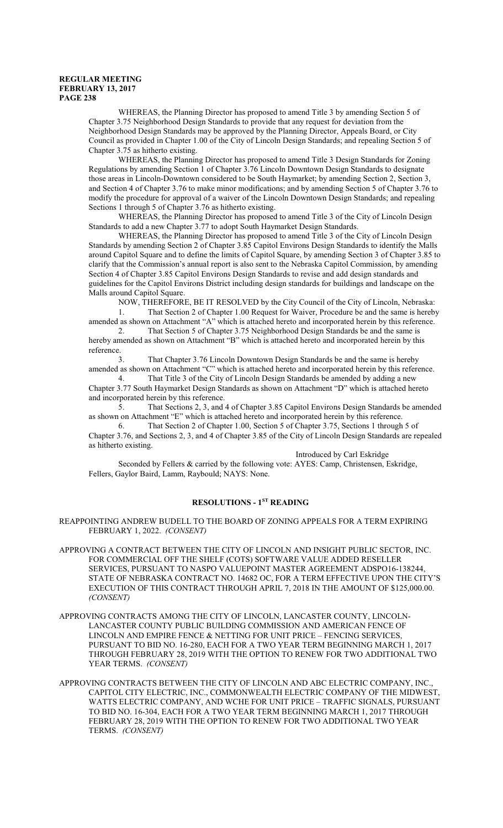WHEREAS, the Planning Director has proposed to amend Title 3 by amending Section 5 of Chapter 3.75 Neighborhood Design Standards to provide that any request for deviation from the Neighborhood Design Standards may be approved by the Planning Director, Appeals Board, or City Council as provided in Chapter 1.00 of the City of Lincoln Design Standards; and repealing Section 5 of Chapter 3.75 as hitherto existing.

WHEREAS, the Planning Director has proposed to amend Title 3 Design Standards for Zoning Regulations by amending Section 1 of Chapter 3.76 Lincoln Downtown Design Standards to designate those areas in Lincoln-Downtown considered to be South Haymarket; by amending Section 2, Section 3, and Section 4 of Chapter 3.76 to make minor modifications; and by amending Section 5 of Chapter 3.76 to modify the procedure for approval of a waiver of the Lincoln Downtown Design Standards; and repealing Sections 1 through 5 of Chapter 3.76 as hitherto existing.

WHEREAS, the Planning Director has proposed to amend Title 3 of the City of Lincoln Design Standards to add a new Chapter 3.77 to adopt South Haymarket Design Standards.

WHEREAS, the Planning Director has proposed to amend Title 3 of the City of Lincoln Design Standards by amending Section 2 of Chapter 3.85 Capitol Environs Design Standards to identify the Malls around Capitol Square and to define the limits of Capitol Square, by amending Section 3 of Chapter 3.85 to clarify that the Commission's annual report is also sent to the Nebraska Capitol Commission, by amending Section 4 of Chapter 3.85 Capitol Environs Design Standards to revise and add design standards and guidelines for the Capitol Environs District including design standards for buildings and landscape on the Malls around Capitol Square.

NOW, THEREFORE, BE IT RESOLVED by the City Council of the City of Lincoln, Nebraska: 1. That Section 2 of Chapter 1.00 Request for Waiver, Procedure be and the same is hereby

amended as shown on Attachment "A" which is attached hereto and incorporated herein by this reference. 2. That Section 5 of Chapter 3.75 Neighborhood Design Standards be and the same is

hereby amended as shown on Attachment "B" which is attached hereto and incorporated herein by this reference.

3. That Chapter 3.76 Lincoln Downtown Design Standards be and the same is hereby amended as shown on Attachment "C" which is attached hereto and incorporated herein by this reference.

4. That Title 3 of the City of Lincoln Design Standards be amended by adding a new Chapter 3.77 South Haymarket Design Standards as shown on Attachment "D" which is attached hereto and incorporated herein by this reference.

5. That Sections 2, 3, and 4 of Chapter 3.85 Capitol Environs Design Standards be amended as shown on Attachment "E" which is attached hereto and incorporated herein by this reference.

6. That Section 2 of Chapter 1.00, Section 5 of Chapter 3.75, Sections 1 through 5 of Chapter 3.76, and Sections 2, 3, and 4 of Chapter 3.85 of the City of Lincoln Design Standards are repealed as hitherto existing.

Introduced by Carl Eskridge

Seconded by Fellers & carried by the following vote: AYES: Camp, Christensen, Eskridge, Fellers, Gaylor Baird, Lamm, Raybould; NAYS: None.

### **RESOLUTIONS - 1ST READING**

REAPPOINTING ANDREW BUDELL TO THE BOARD OF ZONING APPEALS FOR A TERM EXPIRING FEBRUARY 1, 2022. *(CONSENT)*

- APPROVING A CONTRACT BETWEEN THE CITY OF LINCOLN AND INSIGHT PUBLIC SECTOR, INC. FOR COMMERCIAL OFF THE SHELF (COTS) SOFTWARE VALUE ADDED RESELLER SERVICES, PURSUANT TO NASPO VALUEPOINT MASTER AGREEMENT ADSPO16-138244, STATE OF NEBRASKA CONTRACT NO. 14682 OC, FOR A TERM EFFECTIVE UPON THE CITY'S EXECUTION OF THIS CONTRACT THROUGH APRIL 7, 2018 IN THE AMOUNT OF \$125,000.00. *(CONSENT)*
- APPROVING CONTRACTS AMONG THE CITY OF LINCOLN, LANCASTER COUNTY, LINCOLN-LANCASTER COUNTY PUBLIC BUILDING COMMISSION AND AMERICAN FENCE OF LINCOLN AND EMPIRE FENCE & NETTING FOR UNIT PRICE – FENCING SERVICES, PURSUANT TO BID NO. 16-280, EACH FOR A TWO YEAR TERM BEGINNING MARCH 1, 2017 THROUGH FEBRUARY 28, 2019 WITH THE OPTION TO RENEW FOR TWO ADDITIONAL TWO YEAR TERMS. *(CONSENT)*
- APPROVING CONTRACTS BETWEEN THE CITY OF LINCOLN AND ABC ELECTRIC COMPANY, INC., CAPITOL CITY ELECTRIC, INC., COMMONWEALTH ELECTRIC COMPANY OF THE MIDWEST, WATTS ELECTRIC COMPANY, AND WCHE FOR UNIT PRICE – TRAFFIC SIGNALS, PURSUANT TO BID NO. 16-304, EACH FOR A TWO YEAR TERM BEGINNING MARCH 1, 2017 THROUGH FEBRUARY 28, 2019 WITH THE OPTION TO RENEW FOR TWO ADDITIONAL TWO YEAR TERMS. *(CONSENT)*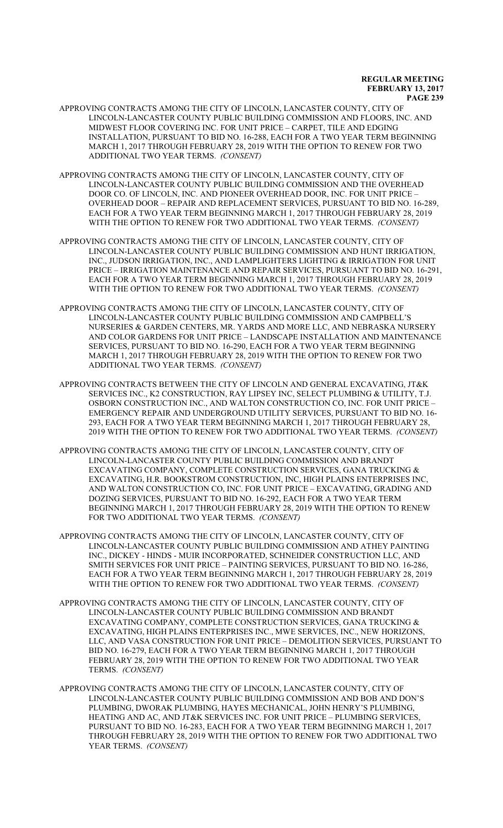- APPROVING CONTRACTS AMONG THE CITY OF LINCOLN, LANCASTER COUNTY, CITY OF LINCOLN-LANCASTER COUNTY PUBLIC BUILDING COMMISSION AND FLOORS, INC. AND MIDWEST FLOOR COVERING INC. FOR UNIT PRICE – CARPET, TILE AND EDGING INSTALLATION, PURSUANT TO BID NO. 16-288, EACH FOR A TWO YEAR TERM BEGINNING MARCH 1, 2017 THROUGH FEBRUARY 28, 2019 WITH THE OPTION TO RENEW FOR TWO ADDITIONAL TWO YEAR TERMS. *(CONSENT)*
- APPROVING CONTRACTS AMONG THE CITY OF LINCOLN, LANCASTER COUNTY, CITY OF LINCOLN-LANCASTER COUNTY PUBLIC BUILDING COMMISSION AND THE OVERHEAD DOOR CO. OF LINCOLN, INC. AND PIONEER OVERHEAD DOOR, INC. FOR UNIT PRICE – OVERHEAD DOOR – REPAIR AND REPLACEMENT SERVICES, PURSUANT TO BID NO. 16-289, EACH FOR A TWO YEAR TERM BEGINNING MARCH 1, 2017 THROUGH FEBRUARY 28, 2019 WITH THE OPTION TO RENEW FOR TWO ADDITIONAL TWO YEAR TERMS. *(CONSENT)*
- APPROVING CONTRACTS AMONG THE CITY OF LINCOLN, LANCASTER COUNTY, CITY OF LINCOLN-LANCASTER COUNTY PUBLIC BUILDING COMMISSION AND HUNT IRRIGATION, INC., JUDSON IRRIGATION, INC., AND LAMPLIGHTERS LIGHTING & IRRIGATION FOR UNIT PRICE – IRRIGATION MAINTENANCE AND REPAIR SERVICES, PURSUANT TO BID NO. 16-291, EACH FOR A TWO YEAR TERM BEGINNING MARCH 1, 2017 THROUGH FEBRUARY 28, 2019 WITH THE OPTION TO RENEW FOR TWO ADDITIONAL TWO YEAR TERMS. *(CONSENT)*
- APPROVING CONTRACTS AMONG THE CITY OF LINCOLN, LANCASTER COUNTY, CITY OF LINCOLN-LANCASTER COUNTY PUBLIC BUILDING COMMISSION AND CAMPBELL'S NURSERIES & GARDEN CENTERS, MR. YARDS AND MORE LLC, AND NEBRASKA NURSERY AND COLOR GARDENS FOR UNIT PRICE – LANDSCAPE INSTALLATION AND MAINTENANCE SERVICES, PURSUANT TO BID NO. 16-290, EACH FOR A TWO YEAR TERM BEGINNING MARCH 1, 2017 THROUGH FEBRUARY 28, 2019 WITH THE OPTION TO RENEW FOR TWO ADDITIONAL TWO YEAR TERMS. *(CONSENT)*
- APPROVING CONTRACTS BETWEEN THE CITY OF LINCOLN AND GENERAL EXCAVATING, JT&K SERVICES INC., K2 CONSTRUCTION, RAY LIPSEY INC, SELECT PLUMBING & UTILITY, T.J. OSBORN CONSTRUCTION INC., AND WALTON CONSTRUCTION CO, INC. FOR UNIT PRICE – EMERGENCY REPAIR AND UNDERGROUND UTILITY SERVICES, PURSUANT TO BID NO. 16- 293, EACH FOR A TWO YEAR TERM BEGINNING MARCH 1, 2017 THROUGH FEBRUARY 28, 2019 WITH THE OPTION TO RENEW FOR TWO ADDITIONAL TWO YEAR TERMS. *(CONSENT)*
- APPROVING CONTRACTS AMONG THE CITY OF LINCOLN, LANCASTER COUNTY, CITY OF LINCOLN-LANCASTER COUNTY PUBLIC BUILDING COMMISSION AND BRANDT EXCAVATING COMPANY, COMPLETE CONSTRUCTION SERVICES, GANA TRUCKING & EXCAVATING, H.R. BOOKSTROM CONSTRUCTION, INC, HIGH PLAINS ENTERPRISES INC, AND WALTON CONSTRUCTION CO, INC. FOR UNIT PRICE – EXCAVATING, GRADING AND DOZING SERVICES, PURSUANT TO BID NO. 16-292, EACH FOR A TWO YEAR TERM BEGINNING MARCH 1, 2017 THROUGH FEBRUARY 28, 2019 WITH THE OPTION TO RENEW FOR TWO ADDITIONAL TWO YEAR TERMS. *(CONSENT)*
- APPROVING CONTRACTS AMONG THE CITY OF LINCOLN, LANCASTER COUNTY, CITY OF LINCOLN-LANCASTER COUNTY PUBLIC BUILDING COMMISSION AND ATHEY PAINTING INC., DICKEY - HINDS - MUIR INCORPORATED, SCHNEIDER CONSTRUCTION LLC, AND SMITH SERVICES FOR UNIT PRICE – PAINTING SERVICES, PURSUANT TO BID NO. 16-286, EACH FOR A TWO YEAR TERM BEGINNING MARCH 1, 2017 THROUGH FEBRUARY 28, 2019 WITH THE OPTION TO RENEW FOR TWO ADDITIONAL TWO YEAR TERMS. *(CONSENT)*
- APPROVING CONTRACTS AMONG THE CITY OF LINCOLN, LANCASTER COUNTY, CITY OF LINCOLN-LANCASTER COUNTY PUBLIC BUILDING COMMISSION AND BRANDT EXCAVATING COMPANY, COMPLETE CONSTRUCTION SERVICES, GANA TRUCKING & EXCAVATING, HIGH PLAINS ENTERPRISES INC., MWE SERVICES, INC., NEW HORIZONS, LLC, AND VASA CONSTRUCTION FOR UNIT PRICE – DEMOLITION SERVICES, PURSUANT TO BID NO. 16-279, EACH FOR A TWO YEAR TERM BEGINNING MARCH 1, 2017 THROUGH FEBRUARY 28, 2019 WITH THE OPTION TO RENEW FOR TWO ADDITIONAL TWO YEAR TERMS. *(CONSENT)*
- APPROVING CONTRACTS AMONG THE CITY OF LINCOLN, LANCASTER COUNTY, CITY OF LINCOLN-LANCASTER COUNTY PUBLIC BUILDING COMMISSION AND BOB AND DON'S PLUMBING, DWORAK PLUMBING, HAYES MECHANICAL, JOHN HENRY'S PLUMBING, HEATING AND AC, AND JT&K SERVICES INC. FOR UNIT PRICE – PLUMBING SERVICES, PURSUANT TO BID NO. 16-283, EACH FOR A TWO YEAR TERM BEGINNING MARCH 1, 2017 THROUGH FEBRUARY 28, 2019 WITH THE OPTION TO RENEW FOR TWO ADDITIONAL TWO YEAR TERMS. *(CONSENT)*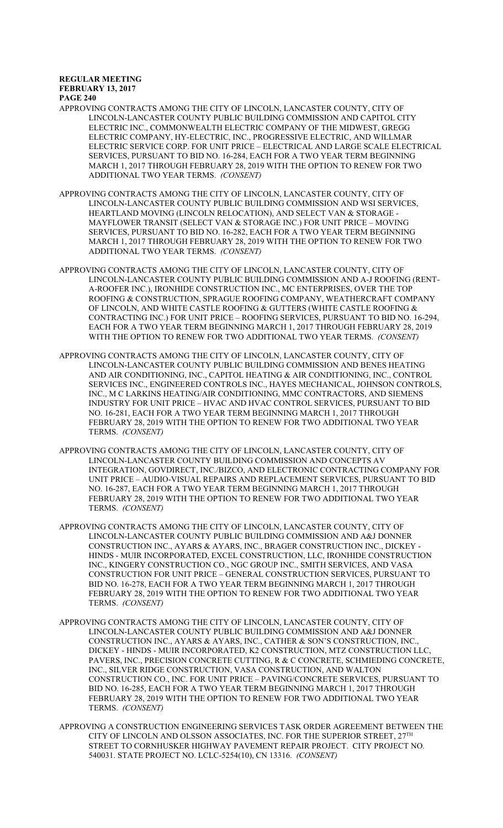- APPROVING CONTRACTS AMONG THE CITY OF LINCOLN, LANCASTER COUNTY, CITY OF LINCOLN-LANCASTER COUNTY PUBLIC BUILDING COMMISSION AND CAPITOL CITY ELECTRIC INC., COMMONWEALTH ELECTRIC COMPANY OF THE MIDWEST, GREGG ELECTRIC COMPANY, HY-ELECTRIC, INC., PROGRESSIVE ELECTRIC, AND WILLMAR ELECTRIC SERVICE CORP. FOR UNIT PRICE – ELECTRICAL AND LARGE SCALE ELECTRICAL SERVICES, PURSUANT TO BID NO. 16-284, EACH FOR A TWO YEAR TERM BEGINNING MARCH 1, 2017 THROUGH FEBRUARY 28, 2019 WITH THE OPTION TO RENEW FOR TWO ADDITIONAL TWO YEAR TERMS. *(CONSENT)*
- APPROVING CONTRACTS AMONG THE CITY OF LINCOLN, LANCASTER COUNTY, CITY OF LINCOLN-LANCASTER COUNTY PUBLIC BUILDING COMMISSION AND WSI SERVICES, HEARTLAND MOVING (LINCOLN RELOCATION), AND SELECT VAN & STORAGE - MAYFLOWER TRANSIT (SELECT VAN & STORAGE INC.) FOR UNIT PRICE – MOVING SERVICES, PURSUANT TO BID NO. 16-282, EACH FOR A TWO YEAR TERM BEGINNING MARCH 1, 2017 THROUGH FEBRUARY 28, 2019 WITH THE OPTION TO RENEW FOR TWO ADDITIONAL TWO YEAR TERMS. *(CONSENT)*
- APPROVING CONTRACTS AMONG THE CITY OF LINCOLN, LANCASTER COUNTY, CITY OF LINCOLN-LANCASTER COUNTY PUBLIC BUILDING COMMISSION AND A-J ROOFING (RENT-A-ROOFER INC.), IRONHIDE CONSTRUCTION INC., MC ENTERPRISES, OVER THE TOP ROOFING & CONSTRUCTION, SPRAGUE ROOFING COMPANY, WEATHERCRAFT COMPANY OF LINCOLN, AND WHITE CASTLE ROOFING & GUTTERS (WHITE CASTLE ROOFING & CONTRACTING INC.) FOR UNIT PRICE – ROOFING SERVICES, PURSUANT TO BID NO. 16-294, EACH FOR A TWO YEAR TERM BEGINNING MARCH 1, 2017 THROUGH FEBRUARY 28, 2019 WITH THE OPTION TO RENEW FOR TWO ADDITIONAL TWO YEAR TERMS. *(CONSENT)*
- APPROVING CONTRACTS AMONG THE CITY OF LINCOLN, LANCASTER COUNTY, CITY OF LINCOLN-LANCASTER COUNTY PUBLIC BUILDING COMMISSION AND BENES HEATING AND AIR CONDITIONING, INC., CAPITOL HEATING & AIR CONDITIONING, INC., CONTROL SERVICES INC., ENGINEERED CONTROLS INC., HAYES MECHANICAL, JOHNSON CONTROLS, INC., M C LARKINS HEATING/AIR CONDITIONING, MMC CONTRACTORS, AND SIEMENS INDUSTRY FOR UNIT PRICE – HVAC AND HVAC CONTROL SERVICES, PURSUANT TO BID NO. 16-281, EACH FOR A TWO YEAR TERM BEGINNING MARCH 1, 2017 THROUGH FEBRUARY 28, 2019 WITH THE OPTION TO RENEW FOR TWO ADDITIONAL TWO YEAR TERMS. *(CONSENT)*
- APPROVING CONTRACTS AMONG THE CITY OF LINCOLN, LANCASTER COUNTY, CITY OF LINCOLN-LANCASTER COUNTY BUILDING COMMISSION AND CONCEPTS AV INTEGRATION, GOVDIRECT, INC./BIZCO, AND ELECTRONIC CONTRACTING COMPANY FOR UNIT PRICE – AUDIO-VISUAL REPAIRS AND REPLACEMENT SERVICES, PURSUANT TO BID NO. 16-287, EACH FOR A TWO YEAR TERM BEGINNING MARCH 1, 2017 THROUGH FEBRUARY 28, 2019 WITH THE OPTION TO RENEW FOR TWO ADDITIONAL TWO YEAR TERMS. *(CONSENT)*
- APPROVING CONTRACTS AMONG THE CITY OF LINCOLN, LANCASTER COUNTY, CITY OF LINCOLN-LANCASTER COUNTY PUBLIC BUILDING COMMISSION AND A&J DONNER CONSTRUCTION INC., AYARS & AYARS, INC., BRAGER CONSTRUCTION INC., DICKEY - HINDS - MUIR INCORPORATED, EXCEL CONSTRUCTION, LLC, IRONHIDE CONSTRUCTION INC., KINGERY CONSTRUCTION CO., NGC GROUP INC., SMITH SERVICES, AND VASA CONSTRUCTION FOR UNIT PRICE – GENERAL CONSTRUCTION SERVICES, PURSUANT TO BID NO. 16-278, EACH FOR A TWO YEAR TERM BEGINNING MARCH 1, 2017 THROUGH FEBRUARY 28, 2019 WITH THE OPTION TO RENEW FOR TWO ADDITIONAL TWO YEAR TERMS. *(CONSENT)*
- APPROVING CONTRACTS AMONG THE CITY OF LINCOLN, LANCASTER COUNTY, CITY OF LINCOLN-LANCASTER COUNTY PUBLIC BUILDING COMMISSION AND A&J DONNER CONSTRUCTION INC., AYARS & AYARS, INC., CATHER & SON'S CONSTRUCTION, INC., DICKEY - HINDS - MUIR INCORPORATED, K2 CONSTRUCTION, MTZ CONSTRUCTION LLC, PAVERS, INC., PRECISION CONCRETE CUTTING, R & C CONCRETE, SCHMIEDING CONCRETE, INC., SILVER RIDGE CONSTRUCTION, VASA CONSTRUCTION, AND WALTON CONSTRUCTION CO., INC. FOR UNIT PRICE – PAVING/CONCRETE SERVICES, PURSUANT TO BID NO. 16-285, EACH FOR A TWO YEAR TERM BEGINNING MARCH 1, 2017 THROUGH FEBRUARY 28, 2019 WITH THE OPTION TO RENEW FOR TWO ADDITIONAL TWO YEAR TERMS. *(CONSENT)*
- APPROVING A CONSTRUCTION ENGINEERING SERVICES TASK ORDER AGREEMENT BETWEEN THE CITY OF LINCOLN AND OLSSON ASSOCIATES, INC. FOR THE SUPERIOR STREET,  $27^{\rm TH}$ STREET TO CORNHUSKER HIGHWAY PAVEMENT REPAIR PROJECT. CITY PROJECT NO. 540031. STATE PROJECT NO. LCLC-5254(10), CN 13316. *(CONSENT)*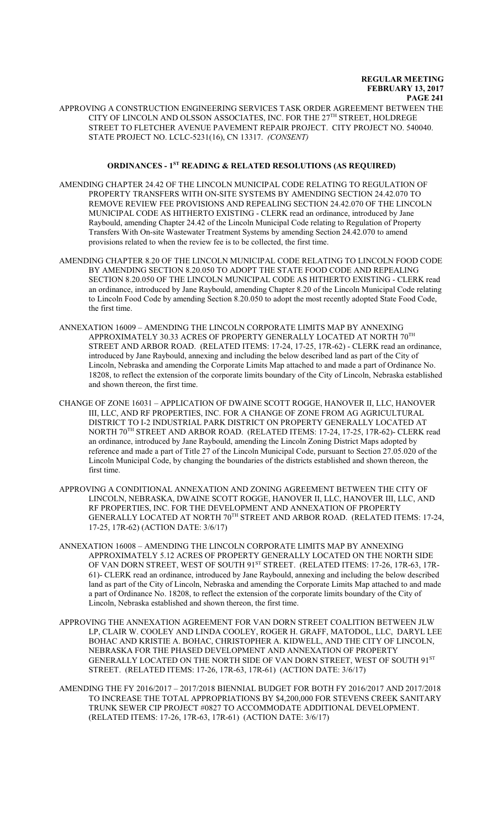APPROVING A CONSTRUCTION ENGINEERING SERVICES TASK ORDER AGREEMENT BETWEEN THE CITY OF LINCOLN AND OLSSON ASSOCIATES, INC. FOR THE 27 $^{\text{\tiny{TH}}}$  STREET, HOLDREGE STREET TO FLETCHER AVENUE PAVEMENT REPAIR PROJECT. CITY PROJECT NO. 540040. STATE PROJECT NO. LCLC-5231(16), CN 13317. *(CONSENT)*

### **ORDINANCES - 1ST READING & RELATED RESOLUTIONS (AS REQUIRED)**

- AMENDING CHAPTER 24.42 OF THE LINCOLN MUNICIPAL CODE RELATING TO REGULATION OF PROPERTY TRANSFERS WITH ON-SITE SYSTEMS BY AMENDING SECTION 24.42.070 TO REMOVE REVIEW FEE PROVISIONS AND REPEALING SECTION 24.42.070 OF THE LINCOLN MUNICIPAL CODE AS HITHERTO EXISTING - CLERK read an ordinance, introduced by Jane Raybould, amending Chapter 24.42 of the Lincoln Municipal Code relating to Regulation of Property Transfers With On-site Wastewater Treatment Systems by amending Section 24.42.070 to amend provisions related to when the review fee is to be collected, the first time.
- AMENDING CHAPTER 8.20 OF THE LINCOLN MUNICIPAL CODE RELATING TO LINCOLN FOOD CODE BY AMENDING SECTION 8.20.050 TO ADOPT THE STATE FOOD CODE AND REPEALING SECTION 8.20.050 OF THE LINCOLN MUNICIPAL CODE AS HITHERTO EXISTING - CLERK read an ordinance, introduced by Jane Raybould, amending Chapter 8.20 of the Lincoln Municipal Code relating to Lincoln Food Code by amending Section 8.20.050 to adopt the most recently adopted State Food Code, the first time.
- ANNEXATION 16009 AMENDING THE LINCOLN CORPORATE LIMITS MAP BY ANNEXING APPROXIMATELY 30.33 ACRES OF PROPERTY GENERALLY LOCATED AT NORTH  $70^{\mathrm{TH}}$ STREET AND ARBOR ROAD. (RELATED ITEMS: 17-24, 17-25, 17R-62) - CLERK read an ordinance, introduced by Jane Raybould, annexing and including the below described land as part of the City of Lincoln, Nebraska and amending the Corporate Limits Map attached to and made a part of Ordinance No. 18208, to reflect the extension of the corporate limits boundary of the City of Lincoln, Nebraska established and shown thereon, the first time.
- CHANGE OF ZONE 16031 APPLICATION OF DWAINE SCOTT ROGGE, HANOVER II, LLC, HANOVER III, LLC, AND RF PROPERTIES, INC. FOR A CHANGE OF ZONE FROM AG AGRICULTURAL DISTRICT TO I-2 INDUSTRIAL PARK DISTRICT ON PROPERTY GENERALLY LOCATED AT NORTH 70 TH STREET AND ARBOR ROAD. (RELATED ITEMS: 17-24, 17-25, 17R-62)- CLERK read an ordinance, introduced by Jane Raybould, amending the Lincoln Zoning District Maps adopted by reference and made a part of Title 27 of the Lincoln Municipal Code, pursuant to Section 27.05.020 of the Lincoln Municipal Code, by changing the boundaries of the districts established and shown thereon, the first time.
- APPROVING A CONDITIONAL ANNEXATION AND ZONING AGREEMENT BETWEEN THE CITY OF LINCOLN, NEBRASKA, DWAINE SCOTT ROGGE, HANOVER II, LLC, HANOVER III, LLC, AND RF PROPERTIES, INC. FOR THE DEVELOPMENT AND ANNEXATION OF PROPERTY GENERALLY LOCATED AT NORTH 70TH STREET AND ARBOR ROAD. (RELATED ITEMS: 17-24, 17-25, 17R-62) (ACTION DATE: 3/6/17)
- ANNEXATION 16008 AMENDING THE LINCOLN CORPORATE LIMITS MAP BY ANNEXING APPROXIMATELY 5.12 ACRES OF PROPERTY GENERALLY LOCATED ON THE NORTH SIDE OF VAN DORN STREET, WEST OF SOUTH 91<sup>st</sup> STREET. (RELATED ITEMS: 17-26, 17R-63, 17R-61)- CLERK read an ordinance, introduced by Jane Raybould, annexing and including the below described land as part of the City of Lincoln, Nebraska and amending the Corporate Limits Map attached to and made a part of Ordinance No. 18208, to reflect the extension of the corporate limits boundary of the City of Lincoln, Nebraska established and shown thereon, the first time.
- APPROVING THE ANNEXATION AGREEMENT FOR VAN DORN STREET COALITION BETWEEN JLW LP, CLAIR W. COOLEY AND LINDA COOLEY, ROGER H. GRAFF, MATODOL, LLC, DARYL LEE BOHAC AND KRISTIE A. BOHAC, CHRISTOPHER A. KIDWELL, AND THE CITY OF LINCOLN, NEBRASKA FOR THE PHASED DEVELOPMENT AND ANNEXATION OF PROPERTY GENERALLY LOCATED ON THE NORTH SIDE OF VAN DORN STREET, WEST OF SOUTH 91<sup>st</sup> STREET. (RELATED ITEMS: 17-26, 17R-63, 17R-61) (ACTION DATE: 3/6/17)
- AMENDING THE FY 2016/2017 2017/2018 BIENNIAL BUDGET FOR BOTH FY 2016/2017 AND 2017/2018 TO INCREASE THE TOTAL APPROPRIATIONS BY \$4,200,000 FOR STEVENS CREEK SANITARY TRUNK SEWER CIP PROJECT #0827 TO ACCOMMODATE ADDITIONAL DEVELOPMENT. (RELATED ITEMS: 17-26, 17R-63, 17R-61) (ACTION DATE: 3/6/17)